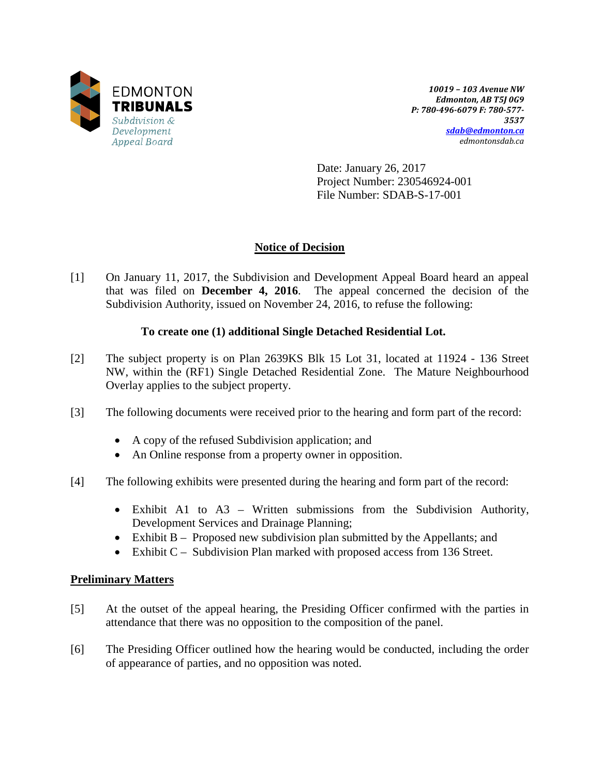

*10019 – 103 Avenue NW Edmonton, AB T5J 0G9 P: 780-496-6079 F: 780-577- 3537 [sdab@edmonton.ca](mailto:sdab@edmonton.ca) edmontonsdab.ca*

Date: January 26, 2017 Project Number: 230546924-001 File Number: SDAB-S-17-001

# **Notice of Decision**

[1] On January 11, 2017, the Subdivision and Development Appeal Board heard an appeal that was filed on **December 4, 2016**. The appeal concerned the decision of the Subdivision Authority, issued on November 24, 2016, to refuse the following:

## **To create one (1) additional Single Detached Residential Lot.**

- [2] The subject property is on Plan 2639KS Blk 15 Lot 31, located at 11924 136 Street NW, within the (RF1) Single Detached Residential Zone. The Mature Neighbourhood Overlay applies to the subject property.
- [3] The following documents were received prior to the hearing and form part of the record:
	- A copy of the refused Subdivision application; and
	- An Online response from a property owner in opposition.
- [4] The following exhibits were presented during the hearing and form part of the record:
	- Exhibit A1 to A3 Written submissions from the Subdivision Authority, Development Services and Drainage Planning;
	- Exhibit B Proposed new subdivision plan submitted by the Appellants; and
	- Exhibit C Subdivision Plan marked with proposed access from 136 Street.

### **Preliminary Matters**

- [5] At the outset of the appeal hearing, the Presiding Officer confirmed with the parties in attendance that there was no opposition to the composition of the panel.
- [6] The Presiding Officer outlined how the hearing would be conducted, including the order of appearance of parties, and no opposition was noted.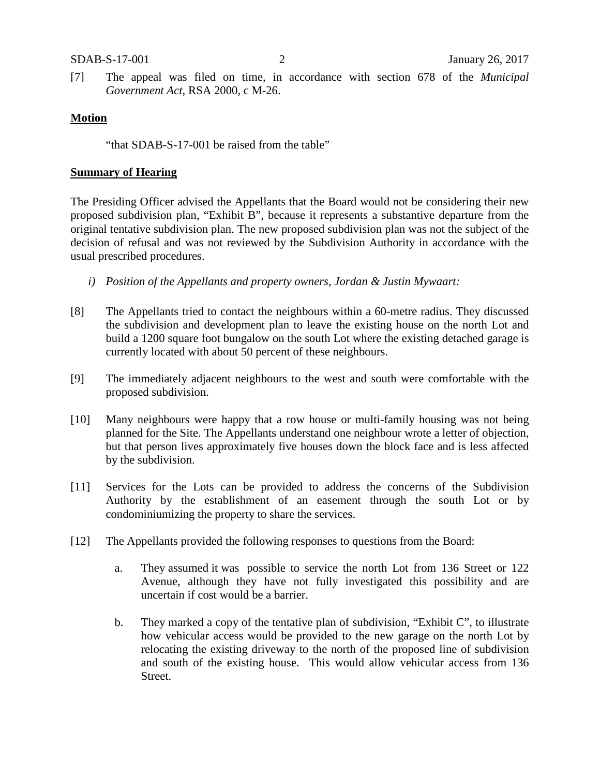[7] The appeal was filed on time, in accordance with section 678 of the *Municipal Government Act*, RSA 2000, c M-26.

#### **Motion**

"that SDAB-S-17-001 be raised from the table"

#### **Summary of Hearing**

The Presiding Officer advised the Appellants that the Board would not be considering their new proposed subdivision plan, "Exhibit B", because it represents a substantive departure from the original tentative subdivision plan. The new proposed subdivision plan was not the subject of the decision of refusal and was not reviewed by the Subdivision Authority in accordance with the usual prescribed procedures.

- *i) Position of the Appellants and property owners, Jordan & Justin Mywaart:*
- [8] The Appellants tried to contact the neighbours within a 60-metre radius. They discussed the subdivision and development plan to leave the existing house on the north Lot and build a 1200 square foot bungalow on the south Lot where the existing detached garage is currently located with about 50 percent of these neighbours.
- [9] The immediately adjacent neighbours to the west and south were comfortable with the proposed subdivision.
- [10] Many neighbours were happy that a row house or multi-family housing was not being planned for the Site. The Appellants understand one neighbour wrote a letter of objection, but that person lives approximately five houses down the block face and is less affected by the subdivision.
- [11] Services for the Lots can be provided to address the concerns of the Subdivision Authority by the establishment of an easement through the south Lot or by condominiumizing the property to share the services.
- [12] The Appellants provided the following responses to questions from the Board:
	- a. They assumed it was possible to service the north Lot from 136 Street or 122 Avenue, although they have not fully investigated this possibility and are uncertain if cost would be a barrier.
	- b. They marked a copy of the tentative plan of subdivision, "Exhibit C", to illustrate how vehicular access would be provided to the new garage on the north Lot by relocating the existing driveway to the north of the proposed line of subdivision and south of the existing house. This would allow vehicular access from 136 Street.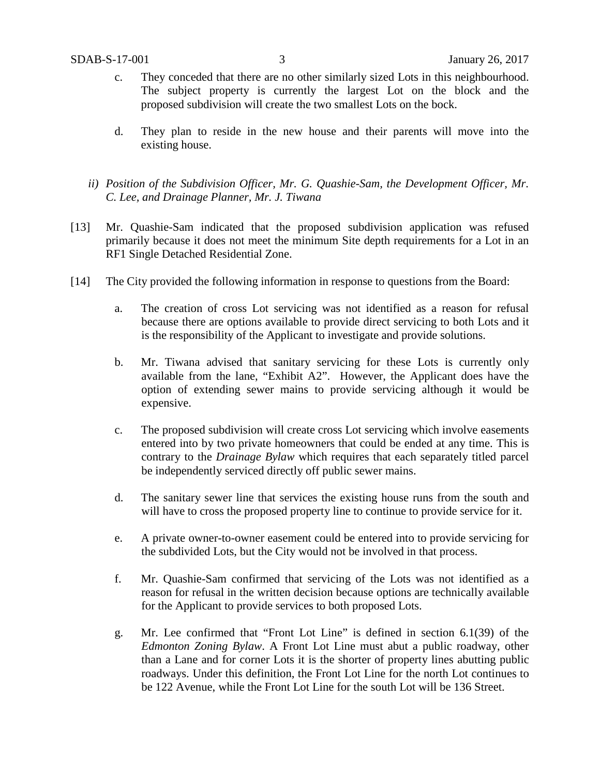- c. They conceded that there are no other similarly sized Lots in this neighbourhood. The subject property is currently the largest Lot on the block and the proposed subdivision will create the two smallest Lots on the bock.
- d. They plan to reside in the new house and their parents will move into the existing house.
- *ii) Position of the Subdivision Officer, Mr. G. Quashie-Sam, the Development Officer, Mr. C. Lee, and Drainage Planner, Mr. J. Tiwana*
- [13] Mr. Quashie-Sam indicated that the proposed subdivision application was refused primarily because it does not meet the minimum Site depth requirements for a Lot in an RF1 Single Detached Residential Zone.
- [14] The City provided the following information in response to questions from the Board:
	- a. The creation of cross Lot servicing was not identified as a reason for refusal because there are options available to provide direct servicing to both Lots and it is the responsibility of the Applicant to investigate and provide solutions.
	- b. Mr. Tiwana advised that sanitary servicing for these Lots is currently only available from the lane, "Exhibit A2". However, the Applicant does have the option of extending sewer mains to provide servicing although it would be expensive.
	- c. The proposed subdivision will create cross Lot servicing which involve easements entered into by two private homeowners that could be ended at any time. This is contrary to the *Drainage Bylaw* which requires that each separately titled parcel be independently serviced directly off public sewer mains.
	- d. The sanitary sewer line that services the existing house runs from the south and will have to cross the proposed property line to continue to provide service for it.
	- e. A private owner-to-owner easement could be entered into to provide servicing for the subdivided Lots, but the City would not be involved in that process.
	- f. Mr. Quashie-Sam confirmed that servicing of the Lots was not identified as a reason for refusal in the written decision because options are technically available for the Applicant to provide services to both proposed Lots.
	- g. Mr. Lee confirmed that "Front Lot Line" is defined in section 6.1(39) of the *Edmonton Zoning Bylaw*. A Front Lot Line must abut a public roadway, other than a Lane and for corner Lots it is the shorter of property lines abutting public roadways. Under this definition, the Front Lot Line for the north Lot continues to be 122 Avenue, while the Front Lot Line for the south Lot will be 136 Street.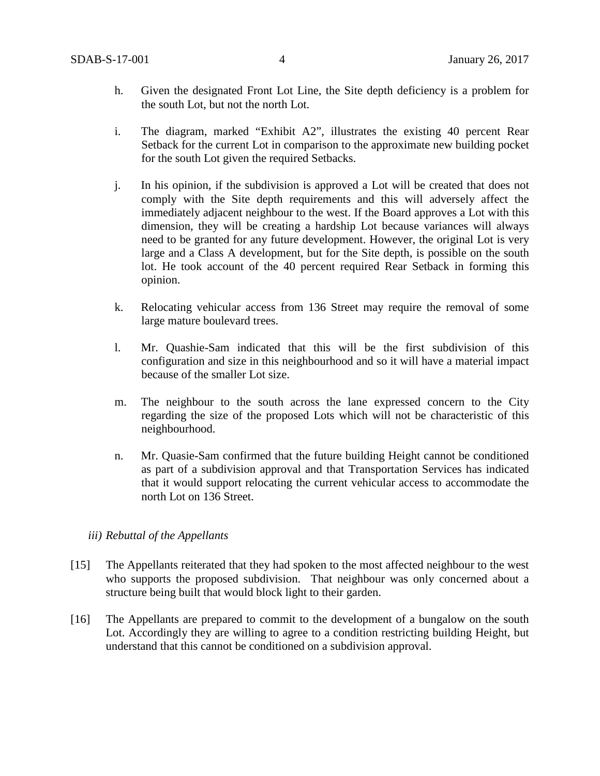- h. Given the designated Front Lot Line, the Site depth deficiency is a problem for the south Lot, but not the north Lot.
- i. The diagram, marked "Exhibit A2", illustrates the existing 40 percent Rear Setback for the current Lot in comparison to the approximate new building pocket for the south Lot given the required Setbacks.
- j. In his opinion, if the subdivision is approved a Lot will be created that does not comply with the Site depth requirements and this will adversely affect the immediately adjacent neighbour to the west. If the Board approves a Lot with this dimension, they will be creating a hardship Lot because variances will always need to be granted for any future development. However, the original Lot is very large and a Class A development, but for the Site depth, is possible on the south lot. He took account of the 40 percent required Rear Setback in forming this opinion.
- k. Relocating vehicular access from 136 Street may require the removal of some large mature boulevard trees.
- l. Mr. Quashie-Sam indicated that this will be the first subdivision of this configuration and size in this neighbourhood and so it will have a material impact because of the smaller Lot size.
- m. The neighbour to the south across the lane expressed concern to the City regarding the size of the proposed Lots which will not be characteristic of this neighbourhood.
- n. Mr. Quasie-Sam confirmed that the future building Height cannot be conditioned as part of a subdivision approval and that Transportation Services has indicated that it would support relocating the current vehicular access to accommodate the north Lot on 136 Street.

#### *iii) Rebuttal of the Appellants*

- [15] The Appellants reiterated that they had spoken to the most affected neighbour to the west who supports the proposed subdivision. That neighbour was only concerned about a structure being built that would block light to their garden.
- [16] The Appellants are prepared to commit to the development of a bungalow on the south Lot. Accordingly they are willing to agree to a condition restricting building Height, but understand that this cannot be conditioned on a subdivision approval.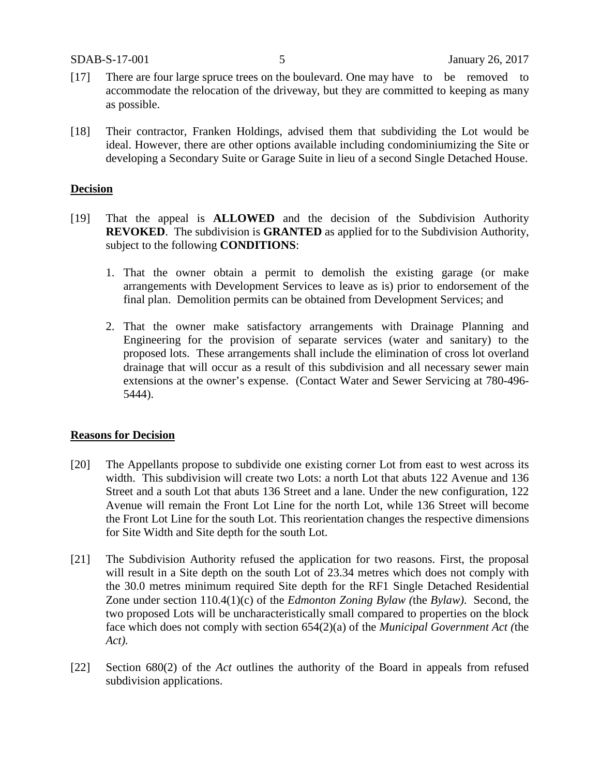- [17] There are four large spruce trees on the boulevard. One may have to be removed to accommodate the relocation of the driveway, but they are committed to keeping as many as possible.
- [18] Their contractor, Franken Holdings, advised them that subdividing the Lot would be ideal. However, there are other options available including condominiumizing the Site or developing a Secondary Suite or Garage Suite in lieu of a second Single Detached House.

#### **Decision**

- [19] That the appeal is **ALLOWED** and the decision of the Subdivision Authority **REVOKED**. The subdivision is **GRANTED** as applied for to the Subdivision Authority, subject to the following **CONDITIONS**:
	- 1. That the owner obtain a permit to demolish the existing garage (or make arrangements with Development Services to leave as is) prior to endorsement of the final plan. Demolition permits can be obtained from Development Services; and
	- 2. That the owner make satisfactory arrangements with Drainage Planning and Engineering for the provision of separate services (water and sanitary) to the proposed lots. These arrangements shall include the elimination of cross lot overland drainage that will occur as a result of this subdivision and all necessary sewer main extensions at the owner's expense. (Contact Water and Sewer Servicing at 780-496- 5444).

#### **Reasons for Decision**

- [20] The Appellants propose to subdivide one existing corner Lot from east to west across its width. This subdivision will create two Lots: a north Lot that abuts 122 Avenue and 136 Street and a south Lot that abuts 136 Street and a lane. Under the new configuration, 122 Avenue will remain the Front Lot Line for the north Lot, while 136 Street will become the Front Lot Line for the south Lot. This reorientation changes the respective dimensions for Site Width and Site depth for the south Lot.
- [21] The Subdivision Authority refused the application for two reasons. First, the proposal will result in a Site depth on the south Lot of 23.34 metres which does not comply with the 30.0 metres minimum required Site depth for the RF1 Single Detached Residential Zone under section 110.4(1)(c) of the *Edmonton Zoning Bylaw (*the *Bylaw)*. Second, the two proposed Lots will be uncharacteristically small compared to properties on the block face which does not comply with section 654(2)(a) of the *Municipal Government Act (*the *Act).*
- [22] Section 680(2) of the *Act* outlines the authority of the Board in appeals from refused subdivision applications.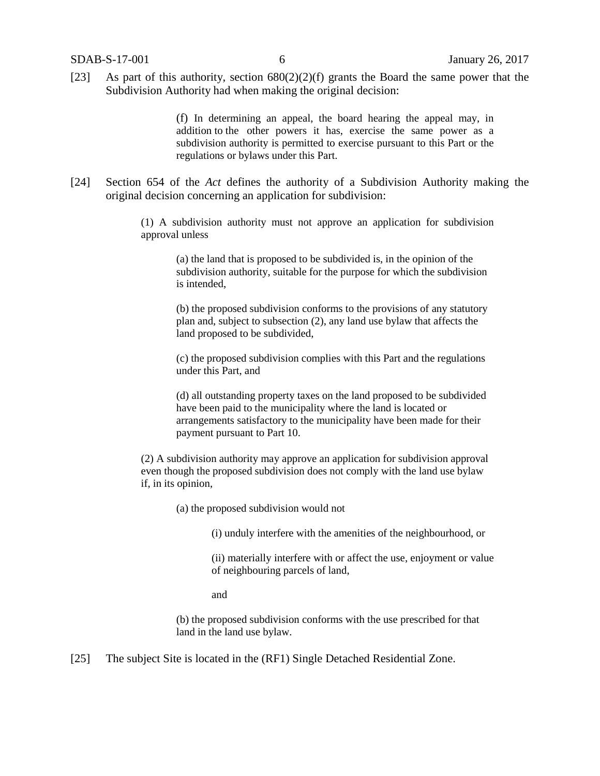[23] As part of this authority, section  $680(2)(2)(f)$  grants the Board the same power that the Subdivision Authority had when making the original decision:

> (f) In determining an appeal, the board hearing the appeal may, in addition to the other powers it has, exercise the same power as a subdivision authority is permitted to exercise pursuant to this Part or the regulations or bylaws under this Part.

[24] Section 654 of the *Act* defines the authority of a Subdivision Authority making the original decision concerning an application for subdivision:

> (1) A subdivision authority must not approve an application for subdivision approval unless

(a) the land that is proposed to be subdivided is, in the opinion of the subdivision authority, suitable for the purpose for which the subdivision is intended,

(b) the proposed subdivision conforms to the provisions of any statutory plan and, subject to subsection (2), any land use bylaw that affects the land proposed to be subdivided,

(c) the proposed subdivision complies with this Part and the regulations under this Part, and

(d) all outstanding property taxes on the land proposed to be subdivided have been paid to the municipality where the land is located or arrangements satisfactory to the municipality have been made for their payment pursuant to Part 10.

(2) A subdivision authority may approve an application for subdivision approval even though the proposed subdivision does not comply with the land use bylaw if, in its opinion,

(a) the proposed subdivision would not

(i) unduly interfere with the amenities of the neighbourhood, or

(ii) materially interfere with or affect the use, enjoyment or value of neighbouring parcels of land,

and

(b) the proposed subdivision conforms with the use prescribed for that land in the land use bylaw.

[25] The subject Site is located in the (RF1) Single Detached Residential Zone.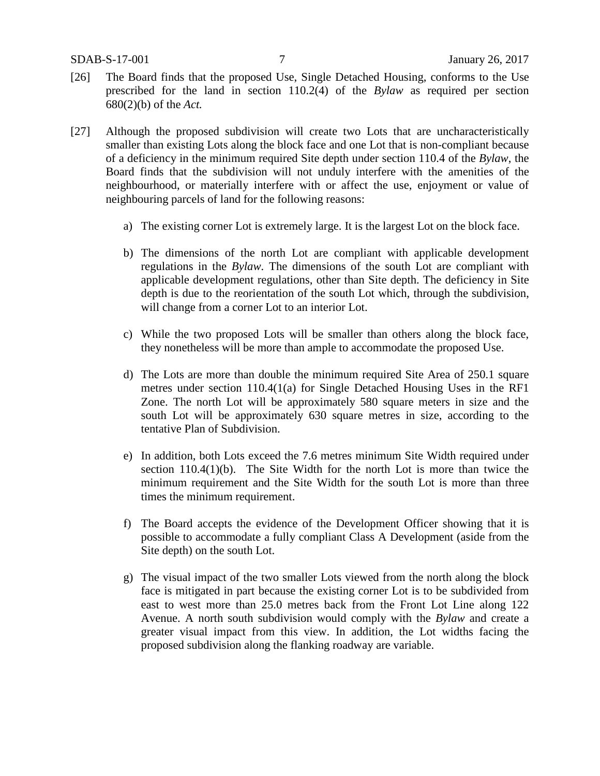- [26] The Board finds that the proposed Use, Single Detached Housing, conforms to the Use prescribed for the land in section 110.2(4) of the *Bylaw* as required per section 680(2)(b) of the *Act.*
- [27] Although the proposed subdivision will create two Lots that are uncharacteristically smaller than existing Lots along the block face and one Lot that is non-compliant because of a deficiency in the minimum required Site depth under section 110.4 of the *Bylaw*, the Board finds that the subdivision will not unduly interfere with the amenities of the neighbourhood, or materially interfere with or affect the use, enjoyment or value of neighbouring parcels of land for the following reasons:
	- a) The existing corner Lot is extremely large. It is the largest Lot on the block face.
	- b) The dimensions of the north Lot are compliant with applicable development regulations in the *Bylaw.* The dimensions of the south Lot are compliant with applicable development regulations, other than Site depth. The deficiency in Site depth is due to the reorientation of the south Lot which, through the subdivision, will change from a corner Lot to an interior Lot.
	- c) While the two proposed Lots will be smaller than others along the block face, they nonetheless will be more than ample to accommodate the proposed Use.
	- d) The Lots are more than double the minimum required Site Area of 250.1 square metres under section 110.4(1(a) for Single Detached Housing Uses in the RF1 Zone. The north Lot will be approximately 580 square meters in size and the south Lot will be approximately 630 square metres in size, according to the tentative Plan of Subdivision.
	- e) In addition, both Lots exceed the 7.6 metres minimum Site Width required under section 110.4(1)(b). The Site Width for the north Lot is more than twice the minimum requirement and the Site Width for the south Lot is more than three times the minimum requirement.
	- f) The Board accepts the evidence of the Development Officer showing that it is possible to accommodate a fully compliant Class A Development (aside from the Site depth) on the south Lot.
	- g) The visual impact of the two smaller Lots viewed from the north along the block face is mitigated in part because the existing corner Lot is to be subdivided from east to west more than 25.0 metres back from the Front Lot Line along 122 Avenue. A north south subdivision would comply with the *Bylaw* and create a greater visual impact from this view. In addition, the Lot widths facing the proposed subdivision along the flanking roadway are variable.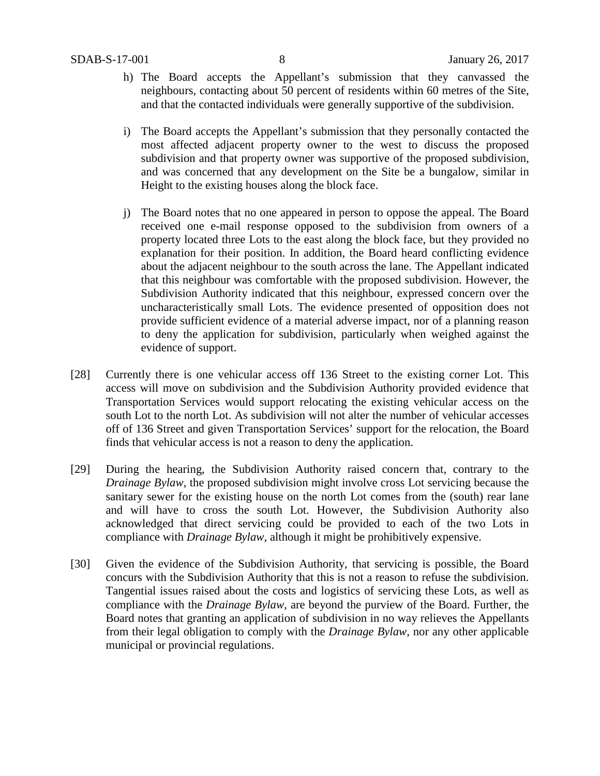- h) The Board accepts the Appellant's submission that they canvassed the neighbours, contacting about 50 percent of residents within 60 metres of the Site, and that the contacted individuals were generally supportive of the subdivision.
- i) The Board accepts the Appellant's submission that they personally contacted the most affected adjacent property owner to the west to discuss the proposed subdivision and that property owner was supportive of the proposed subdivision, and was concerned that any development on the Site be a bungalow, similar in Height to the existing houses along the block face.
- j) The Board notes that no one appeared in person to oppose the appeal. The Board received one e-mail response opposed to the subdivision from owners of a property located three Lots to the east along the block face, but they provided no explanation for their position. In addition, the Board heard conflicting evidence about the adjacent neighbour to the south across the lane. The Appellant indicated that this neighbour was comfortable with the proposed subdivision. However, the Subdivision Authority indicated that this neighbour, expressed concern over the uncharacteristically small Lots. The evidence presented of opposition does not provide sufficient evidence of a material adverse impact, nor of a planning reason to deny the application for subdivision, particularly when weighed against the evidence of support.
- [28] Currently there is one vehicular access off 136 Street to the existing corner Lot. This access will move on subdivision and the Subdivision Authority provided evidence that Transportation Services would support relocating the existing vehicular access on the south Lot to the north Lot. As subdivision will not alter the number of vehicular accesses off of 136 Street and given Transportation Services' support for the relocation, the Board finds that vehicular access is not a reason to deny the application.
- [29] During the hearing, the Subdivision Authority raised concern that, contrary to the *Drainage Bylaw*, the proposed subdivision might involve cross Lot servicing because the sanitary sewer for the existing house on the north Lot comes from the (south) rear lane and will have to cross the south Lot. However, the Subdivision Authority also acknowledged that direct servicing could be provided to each of the two Lots in compliance with *Drainage Bylaw,* although it might be prohibitively expensive.
- [30] Given the evidence of the Subdivision Authority, that servicing is possible, the Board concurs with the Subdivision Authority that this is not a reason to refuse the subdivision. Tangential issues raised about the costs and logistics of servicing these Lots, as well as compliance with the *Drainage Bylaw*, are beyond the purview of the Board. Further, the Board notes that granting an application of subdivision in no way relieves the Appellants from their legal obligation to comply with the *Drainage Bylaw,* nor any other applicable municipal or provincial regulations.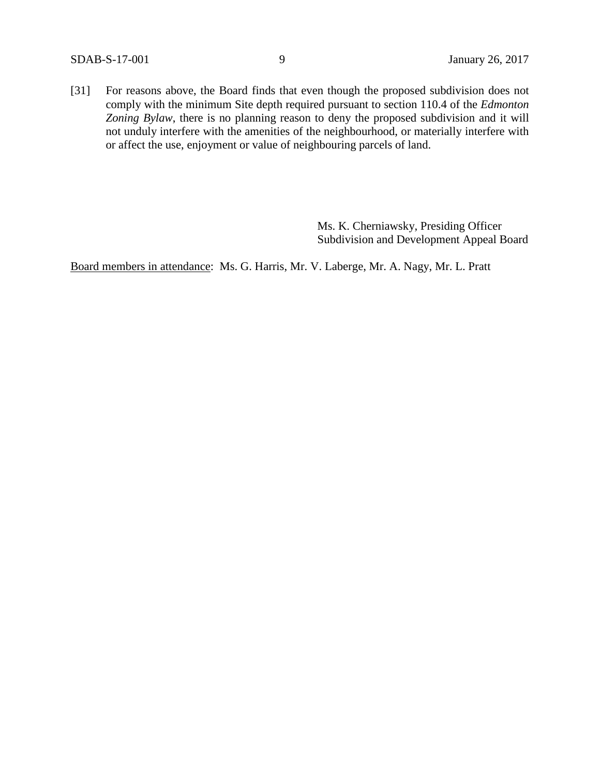SDAB-S-17-001 9 January 26, 2017

[31] For reasons above, the Board finds that even though the proposed subdivision does not comply with the minimum Site depth required pursuant to section 110.4 of the *Edmonton Zoning Bylaw*, there is no planning reason to deny the proposed subdivision and it will not unduly interfere with the amenities of the neighbourhood, or materially interfere with or affect the use, enjoyment or value of neighbouring parcels of land.

> Ms. K. Cherniawsky, Presiding Officer Subdivision and Development Appeal Board

Board members in attendance: Ms. G. Harris, Mr. V. Laberge, Mr. A. Nagy, Mr. L. Pratt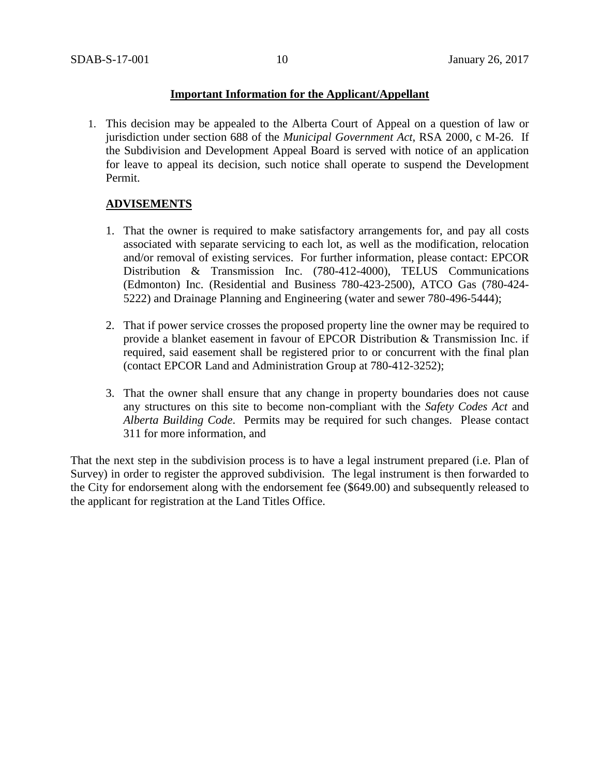### **Important Information for the Applicant/Appellant**

1. This decision may be appealed to the Alberta Court of Appeal on a question of law or jurisdiction under section 688 of the *Municipal Government Act*, RSA 2000, c M-26. If the Subdivision and Development Appeal Board is served with notice of an application for leave to appeal its decision, such notice shall operate to suspend the Development Permit.

## **ADVISEMENTS**

- 1. That the owner is required to make satisfactory arrangements for, and pay all costs associated with separate servicing to each lot, as well as the modification, relocation and/or removal of existing services. For further information, please contact: EPCOR Distribution & Transmission Inc. (780-412-4000), TELUS Communications (Edmonton) Inc. (Residential and Business 780-423-2500), ATCO Gas (780-424- 5222) and Drainage Planning and Engineering (water and sewer 780-496-5444);
- 2. That if power service crosses the proposed property line the owner may be required to provide a blanket easement in favour of EPCOR Distribution & Transmission Inc. if required, said easement shall be registered prior to or concurrent with the final plan (contact EPCOR Land and Administration Group at 780-412-3252);
- 3. That the owner shall ensure that any change in property boundaries does not cause any structures on this site to become non-compliant with the *Safety Codes Act* and *Alberta Building Code*. Permits may be required for such changes. Please contact 311 for more information, and

That the next step in the subdivision process is to have a legal instrument prepared (i.e. Plan of Survey) in order to register the approved subdivision. The legal instrument is then forwarded to the City for endorsement along with the endorsement fee (\$649.00) and subsequently released to the applicant for registration at the Land Titles Office.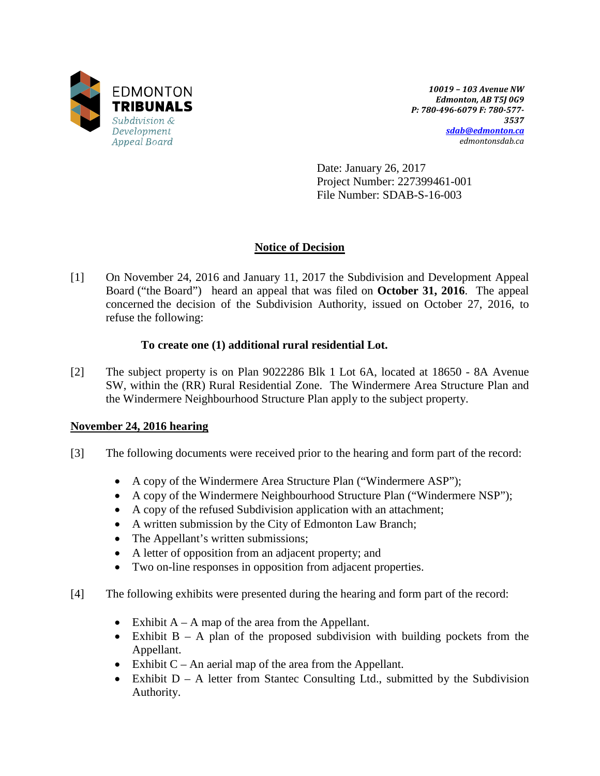

*10019 – 103 Avenue NW Edmonton, AB T5J 0G9 P: 780-496-6079 F: 780-577- 3537 [sdab@edmonton.ca](mailto:sdab@edmonton.ca) edmontonsdab.ca*

Date: January 26, 2017 Project Number: 227399461-001 File Number: SDAB-S-16-003

# **Notice of Decision**

[1] On November 24, 2016 and January 11, 2017 the Subdivision and Development Appeal Board ("the Board") heard an appeal that was filed on **October 31, 2016**. The appeal concerned the decision of the Subdivision Authority, issued on October 27, 2016, to refuse the following:

## **To create one (1) additional rural residential Lot.**

[2] The subject property is on Plan 9022286 Blk 1 Lot 6A, located at 18650 - 8A Avenue SW, within the (RR) Rural Residential Zone. The Windermere Area Structure Plan and the Windermere Neighbourhood Structure Plan apply to the subject property.

## **November 24, 2016 hearing**

- [3] The following documents were received prior to the hearing and form part of the record:
	- A copy of the Windermere Area Structure Plan ("Windermere ASP");
	- A copy of the Windermere Neighbourhood Structure Plan ("Windermere NSP");
	- A copy of the refused Subdivision application with an attachment;
	- A written submission by the City of Edmonton Law Branch;
	- The Appellant's written submissions;
	- A letter of opposition from an adjacent property; and
	- Two on-line responses in opposition from adjacent properties.
- [4] The following exhibits were presented during the hearing and form part of the record:
	- Exhibit  $A A$  map of the area from the Appellant.
	- Exhibit  $B A$  plan of the proposed subdivision with building pockets from the Appellant.
	- Exhibit  $C An$  aerial map of the area from the Appellant.
	- Exhibit  $D A$  letter from Stantec Consulting Ltd., submitted by the Subdivision Authority.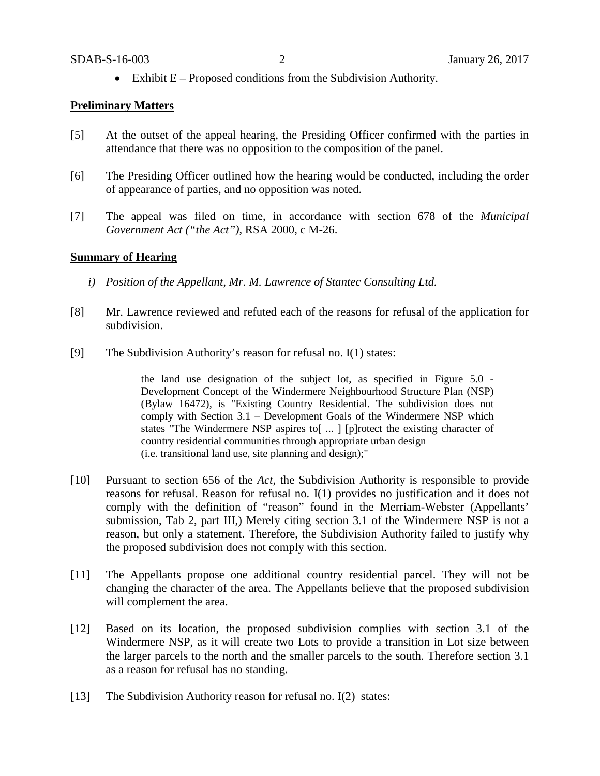• Exhibit  $E -$  Proposed conditions from the Subdivision Authority.

#### **Preliminary Matters**

- [5] At the outset of the appeal hearing, the Presiding Officer confirmed with the parties in attendance that there was no opposition to the composition of the panel.
- [6] The Presiding Officer outlined how the hearing would be conducted, including the order of appearance of parties, and no opposition was noted.
- [7] The appeal was filed on time, in accordance with section 678 of the *Municipal Government Act ("the Act")*, RSA 2000, c M-26.

#### **Summary of Hearing**

- *i) Position of the Appellant, Mr. M. Lawrence of Stantec Consulting Ltd.*
- [8] Mr. Lawrence reviewed and refuted each of the reasons for refusal of the application for subdivision.
- [9] The Subdivision Authority's reason for refusal no. I(1) states:

the land use designation of the subject lot, as specified in Figure 5.0 - Development Concept of the Windermere Neighbourhood Structure Plan (NSP) (Bylaw 16472), is "Existing Country Residential. The subdivision does not comply with Section 3.1 – Development Goals of the Windermere NSP which states "The Windermere NSP aspires to[ ... ] [p]rotect the existing character of country residential communities through appropriate urban design (i.e. transitional land use, site planning and design);"

- [10] Pursuant to section 656 of the *Act*, the Subdivision Authority is responsible to provide reasons for refusal. Reason for refusal no. I(1) provides no justification and it does not comply with the definition of "reason" found in the Merriam-Webster (Appellants' submission, Tab 2, part III,) Merely citing section 3.1 of the Windermere NSP is not a reason, but only a statement. Therefore, the Subdivision Authority failed to justify why the proposed subdivision does not comply with this section.
- [11] The Appellants propose one additional country residential parcel. They will not be changing the character of the area. The Appellants believe that the proposed subdivision will complement the area.
- [12] Based on its location, the proposed subdivision complies with section 3.1 of the Windermere NSP, as it will create two Lots to provide a transition in Lot size between the larger parcels to the north and the smaller parcels to the south. Therefore section 3.1 as a reason for refusal has no standing.
- [13] The Subdivision Authority reason for refusal no. I(2) states: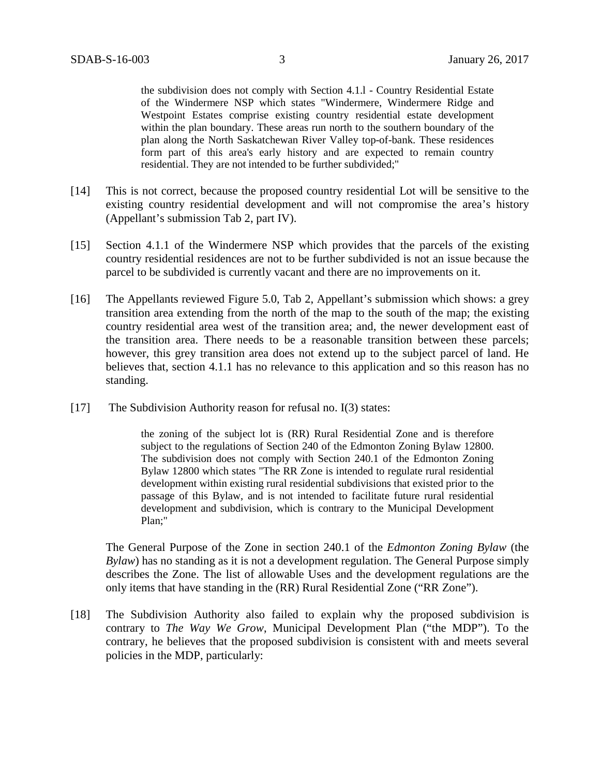the subdivision does not comply with Section 4.1.l - Country Residential Estate of the Windermere NSP which states "Windermere, Windermere Ridge and Westpoint Estates comprise existing country residential estate development within the plan boundary. These areas run north to the southern boundary of the plan along the North Saskatchewan River Valley top-of-bank. These residences form part of this area's early history and are expected to remain country residential. They are not intended to be further subdivided;"

- [14] This is not correct, because the proposed country residential Lot will be sensitive to the existing country residential development and will not compromise the area's history (Appellant's submission Tab 2, part IV).
- [15] Section 4.1.1 of the Windermere NSP which provides that the parcels of the existing country residential residences are not to be further subdivided is not an issue because the parcel to be subdivided is currently vacant and there are no improvements on it.
- [16] The Appellants reviewed Figure 5.0, Tab 2, Appellant's submission which shows: a grey transition area extending from the north of the map to the south of the map; the existing country residential area west of the transition area; and, the newer development east of the transition area. There needs to be a reasonable transition between these parcels; however, this grey transition area does not extend up to the subject parcel of land. He believes that, section 4.1.1 has no relevance to this application and so this reason has no standing.
- [17] The Subdivision Authority reason for refusal no. I(3) states:

the zoning of the subject lot is (RR) Rural Residential Zone and is therefore subject to the regulations of Section 240 of the Edmonton Zoning Bylaw 12800. The subdivision does not comply with Section 240.1 of the Edmonton Zoning Bylaw 12800 which states "The RR Zone is intended to regulate rural residential development within existing rural residential subdivisions that existed prior to the passage of this Bylaw, and is not intended to facilitate future rural residential development and subdivision, which is contrary to the Municipal Development Plan;"

The General Purpose of the Zone in section 240.1 of the *Edmonton Zoning Bylaw* (the *Bylaw*) has no standing as it is not a development regulation. The General Purpose simply describes the Zone. The list of allowable Uses and the development regulations are the only items that have standing in the (RR) Rural Residential Zone ("RR Zone").

[18] The Subdivision Authority also failed to explain why the proposed subdivision is contrary to *The Way We Grow*, Municipal Development Plan ("the MDP"). To the contrary, he believes that the proposed subdivision is consistent with and meets several policies in the MDP, particularly: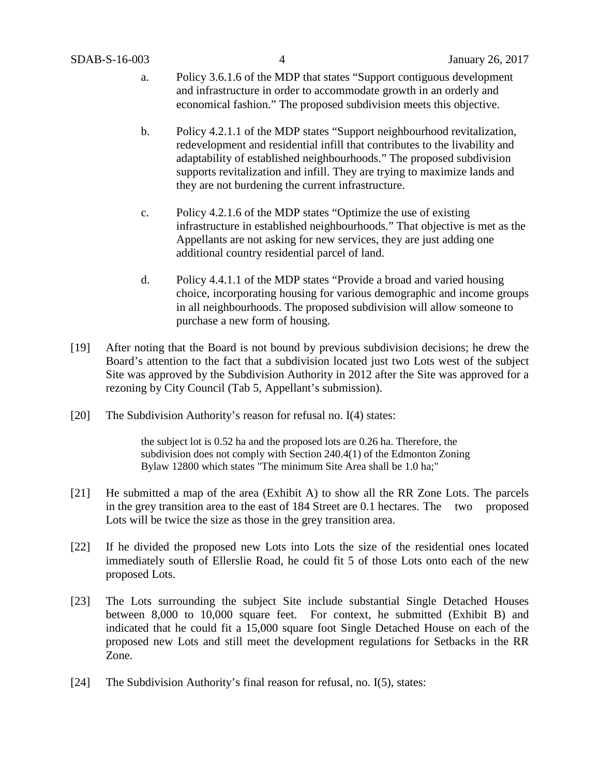- a. Policy 3.6.1.6 of the MDP that states "Support contiguous development and infrastructure in order to accommodate growth in an orderly and economical fashion." The proposed subdivision meets this objective.
- b. Policy 4.2.1.1 of the MDP states "Support neighbourhood revitalization, redevelopment and residential infill that contributes to the livability and adaptability of established neighbourhoods." The proposed subdivision supports revitalization and infill. They are trying to maximize lands and they are not burdening the current infrastructure.
- c. Policy 4.2.1.6 of the MDP states "Optimize the use of existing infrastructure in established neighbourhoods." That objective is met as the Appellants are not asking for new services, they are just adding one additional country residential parcel of land.
- d. Policy 4.4.1.1 of the MDP states "Provide a broad and varied housing choice, incorporating housing for various demographic and income groups in all neighbourhoods. The proposed subdivision will allow someone to purchase a new form of housing.
- [19] After noting that the Board is not bound by previous subdivision decisions; he drew the Board's attention to the fact that a subdivision located just two Lots west of the subject Site was approved by the Subdivision Authority in 2012 after the Site was approved for a rezoning by City Council (Tab 5, Appellant's submission).
- [20] The Subdivision Authority's reason for refusal no. I(4) states:

the subject lot is 0.52 ha and the proposed lots are 0.26 ha. Therefore, the subdivision does not comply with Section 240.4(1) of the Edmonton Zoning Bylaw 12800 which states "The minimum Site Area shall be 1.0 ha;"

- [21] He submitted a map of the area (Exhibit A) to show all the RR Zone Lots. The parcels in the grey transition area to the east of 184 Street are 0.1 hectares. The two proposed Lots will be twice the size as those in the grey transition area.
- [22] If he divided the proposed new Lots into Lots the size of the residential ones located immediately south of Ellerslie Road, he could fit 5 of those Lots onto each of the new proposed Lots.
- [23] The Lots surrounding the subject Site include substantial Single Detached Houses between 8,000 to 10,000 square feet. For context, he submitted (Exhibit B) and indicated that he could fit a 15,000 square foot Single Detached House on each of the proposed new Lots and still meet the development regulations for Setbacks in the RR Zone.
- [24] The Subdivision Authority's final reason for refusal, no. I(5), states: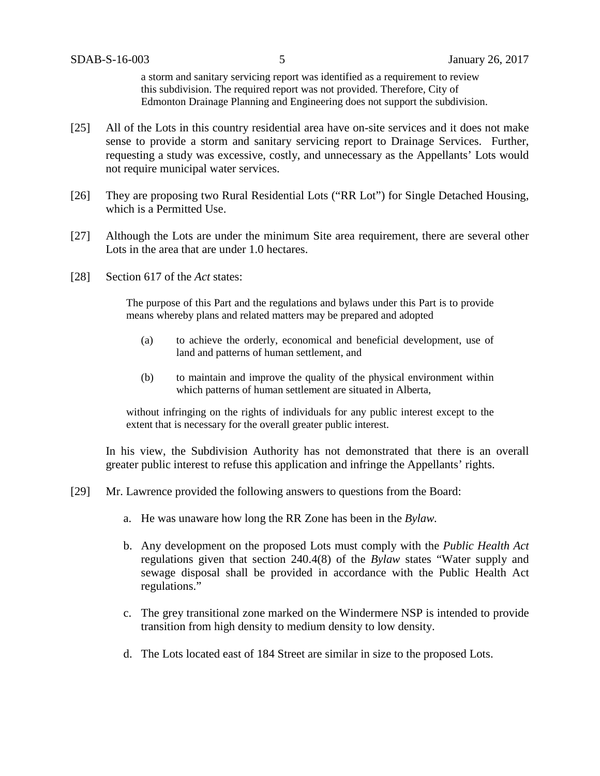a storm and sanitary servicing report was identified as a requirement to review this subdivision. The required report was not provided. Therefore, City of Edmonton Drainage Planning and Engineering does not support the subdivision.

- [25] All of the Lots in this country residential area have on-site services and it does not make sense to provide a storm and sanitary servicing report to Drainage Services. Further, requesting a study was excessive, costly, and unnecessary as the Appellants' Lots would not require municipal water services.
- [26] They are proposing two Rural Residential Lots ("RR Lot") for Single Detached Housing, which is a Permitted Use.
- [27] Although the Lots are under the minimum Site area requirement, there are several other Lots in the area that are under 1.0 hectares.
- [28] Section 617 of the *Act* states:

The purpose of this Part and the regulations and bylaws under this Part is to provide means whereby plans and related matters may be prepared and adopted

- (a) to achieve the orderly, economical and beneficial development, use of land and patterns of human settlement, and
- (b) to maintain and improve the quality of the physical environment within which patterns of human settlement are situated in Alberta,

without infringing on the rights of individuals for any public interest except to the extent that is necessary for the overall greater public interest.

In his view, the Subdivision Authority has not demonstrated that there is an overall greater public interest to refuse this application and infringe the Appellants' rights.

- [29] Mr. Lawrence provided the following answers to questions from the Board:
	- a. He was unaware how long the RR Zone has been in the *Bylaw.*
	- b. Any development on the proposed Lots must comply with the *Public Health Act* regulations given that section 240.4(8) of the *Bylaw* states "Water supply and sewage disposal shall be provided in accordance with the Public Health Act regulations."
	- c. The grey transitional zone marked on the Windermere NSP is intended to provide transition from high density to medium density to low density.
	- d. The Lots located east of 184 Street are similar in size to the proposed Lots.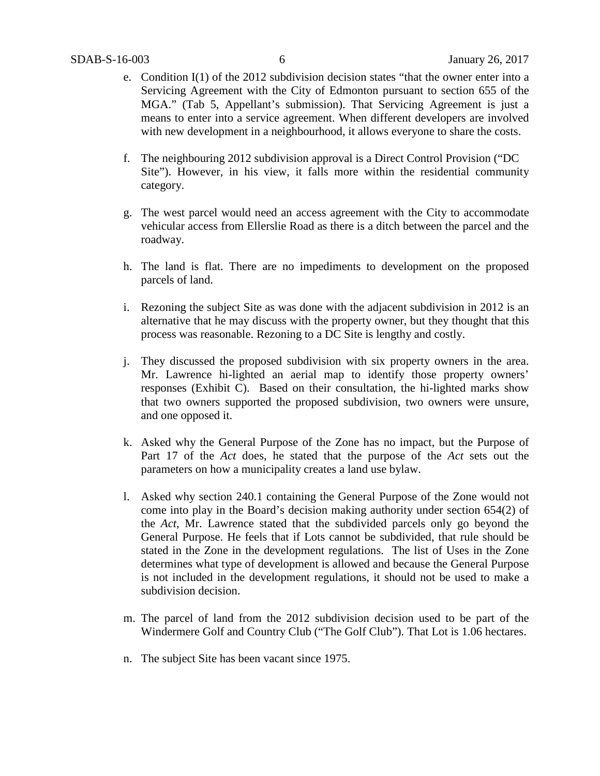- e. Condition I(1) of the 2012 subdivision decision states "that the owner enter into a Servicing Agreement with the City of Edmonton pursuant to section 655 of the MGA." (Tab 5, Appellant's submission). That Servicing Agreement is just a means to enter into a service agreement. When different developers are involved with new development in a neighbourhood, it allows everyone to share the costs.
- f. The neighbouring 2012 subdivision approval is a Direct Control Provision ("DC Site"). However, in his view, it falls more within the residential community category.
- g. The west parcel would need an access agreement with the City to accommodate vehicular access from Ellerslie Road as there is a ditch between the parcel and the roadway.
- h. The land is flat. There are no impediments to development on the proposed parcels of land.
- i. Rezoning the subject Site as was done with the adjacent subdivision in 2012 is an alternative that he may discuss with the property owner, but they thought that this process was reasonable. Rezoning to a DC Site is lengthy and costly.
- j. They discussed the proposed subdivision with six property owners in the area. Mr. Lawrence hi-lighted an aerial map to identify those property owners' responses (Exhibit C). Based on their consultation, the hi-lighted marks show that two owners supported the proposed subdivision, two owners were unsure, and one opposed it.
- k. Asked why the General Purpose of the Zone has no impact, but the Purpose of Part 17 of the *Act* does, he stated that the purpose of the *Act* sets out the parameters on how a municipality creates a land use bylaw.
- l. Asked why section 240.1 containing the General Purpose of the Zone would not come into play in the Board's decision making authority under section 654(2) of the *Act*, Mr. Lawrence stated that the subdivided parcels only go beyond the General Purpose. He feels that if Lots cannot be subdivided, that rule should be stated in the Zone in the development regulations. The list of Uses in the Zone determines what type of development is allowed and because the General Purpose is not included in the development regulations, it should not be used to make a subdivision decision.
- m. The parcel of land from the 2012 subdivision decision used to be part of the Windermere Golf and Country Club ("The Golf Club"). That Lot is 1.06 hectares.
- n. The subject Site has been vacant since 1975.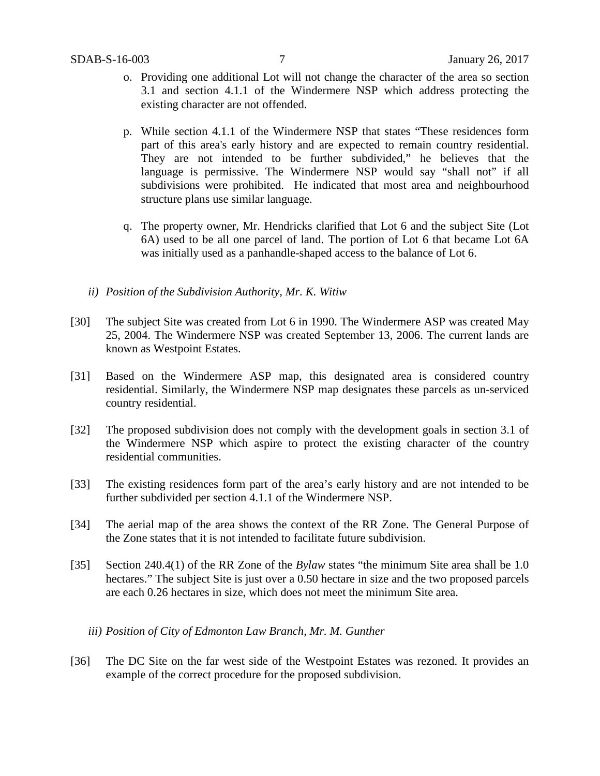- o. Providing one additional Lot will not change the character of the area so section 3.1 and section 4.1.1 of the Windermere NSP which address protecting the existing character are not offended.
- p. While section 4.1.1 of the Windermere NSP that states "These residences form part of this area's early history and are expected to remain country residential. They are not intended to be further subdivided," he believes that the language is permissive. The Windermere NSP would say "shall not" if all subdivisions were prohibited. He indicated that most area and neighbourhood structure plans use similar language.
- q. The property owner, Mr. Hendricks clarified that Lot 6 and the subject Site (Lot 6A) used to be all one parcel of land. The portion of Lot 6 that became Lot 6A was initially used as a panhandle-shaped access to the balance of Lot 6.
- *ii) Position of the Subdivision Authority, Mr. K. Witiw*
- [30] The subject Site was created from Lot 6 in 1990. The Windermere ASP was created May 25, 2004. The Windermere NSP was created September 13, 2006. The current lands are known as Westpoint Estates.
- [31] Based on the Windermere ASP map, this designated area is considered country residential. Similarly, the Windermere NSP map designates these parcels as un-serviced country residential.
- [32] The proposed subdivision does not comply with the development goals in section 3.1 of the Windermere NSP which aspire to protect the existing character of the country residential communities.
- [33] The existing residences form part of the area's early history and are not intended to be further subdivided per section 4.1.1 of the Windermere NSP.
- [34] The aerial map of the area shows the context of the RR Zone. The General Purpose of the Zone states that it is not intended to facilitate future subdivision.
- [35] Section 240.4(1) of the RR Zone of the *Bylaw* states "the minimum Site area shall be 1.0 hectares." The subject Site is just over a 0.50 hectare in size and the two proposed parcels are each 0.26 hectares in size, which does not meet the minimum Site area.
	- *iii) Position of City of Edmonton Law Branch, Mr. M. Gunther*
- [36] The DC Site on the far west side of the Westpoint Estates was rezoned. It provides an example of the correct procedure for the proposed subdivision.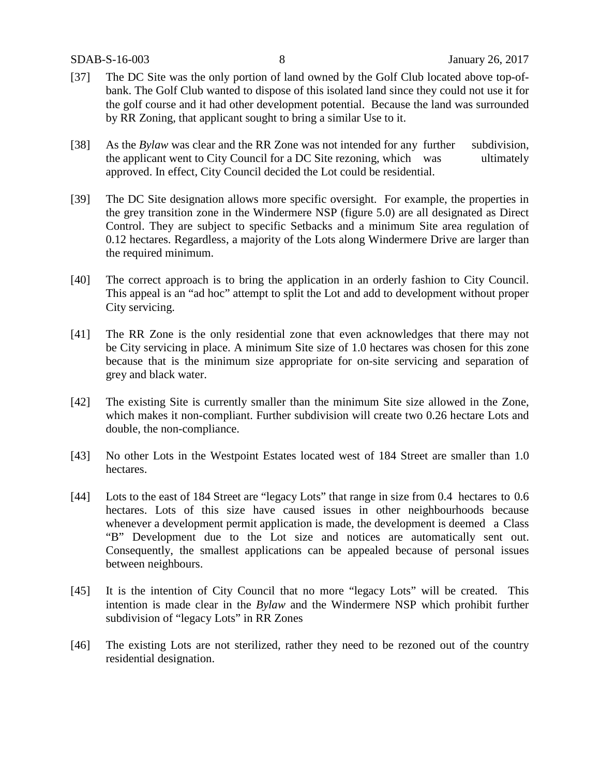- [37] The DC Site was the only portion of land owned by the Golf Club located above top-ofbank. The Golf Club wanted to dispose of this isolated land since they could not use it for the golf course and it had other development potential. Because the land was surrounded by RR Zoning, that applicant sought to bring a similar Use to it.
- [38] As the *Bylaw* was clear and the RR Zone was not intended for any further subdivision, the applicant went to City Council for a DC Site rezoning, which was ultimately approved. In effect, City Council decided the Lot could be residential.
- [39] The DC Site designation allows more specific oversight. For example, the properties in the grey transition zone in the Windermere NSP (figure 5.0) are all designated as Direct Control. They are subject to specific Setbacks and a minimum Site area regulation of 0.12 hectares. Regardless, a majority of the Lots along Windermere Drive are larger than the required minimum.
- [40] The correct approach is to bring the application in an orderly fashion to City Council. This appeal is an "ad hoc" attempt to split the Lot and add to development without proper City servicing.
- [41] The RR Zone is the only residential zone that even acknowledges that there may not be City servicing in place. A minimum Site size of 1.0 hectares was chosen for this zone because that is the minimum size appropriate for on-site servicing and separation of grey and black water.
- [42] The existing Site is currently smaller than the minimum Site size allowed in the Zone, which makes it non-compliant. Further subdivision will create two 0.26 hectare Lots and double, the non-compliance.
- [43] No other Lots in the Westpoint Estates located west of 184 Street are smaller than 1.0 hectares.
- [44] Lots to the east of 184 Street are "legacy Lots" that range in size from 0.4 hectares to 0.6 hectares. Lots of this size have caused issues in other neighbourhoods because whenever a development permit application is made, the development is deemed a Class "B" Development due to the Lot size and notices are automatically sent out. Consequently, the smallest applications can be appealed because of personal issues between neighbours.
- [45] It is the intention of City Council that no more "legacy Lots" will be created. This intention is made clear in the *Bylaw* and the Windermere NSP which prohibit further subdivision of "legacy Lots" in RR Zones
- [46] The existing Lots are not sterilized, rather they need to be rezoned out of the country residential designation.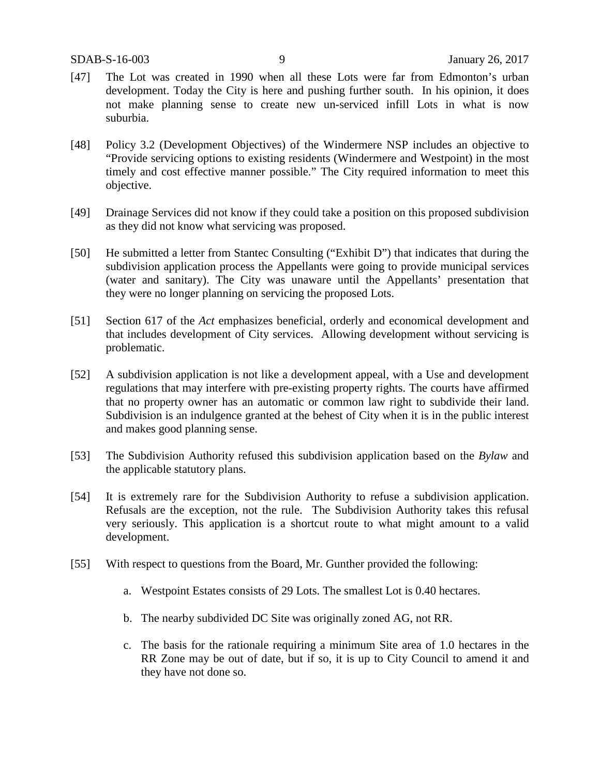- [47] The Lot was created in 1990 when all these Lots were far from Edmonton's urban development. Today the City is here and pushing further south. In his opinion, it does not make planning sense to create new un-serviced infill Lots in what is now suburbia.
- [48] Policy 3.2 (Development Objectives) of the Windermere NSP includes an objective to "Provide servicing options to existing residents (Windermere and Westpoint) in the most timely and cost effective manner possible." The City required information to meet this objective.
- [49] Drainage Services did not know if they could take a position on this proposed subdivision as they did not know what servicing was proposed.
- [50] He submitted a letter from Stantec Consulting ("Exhibit D") that indicates that during the subdivision application process the Appellants were going to provide municipal services (water and sanitary). The City was unaware until the Appellants' presentation that they were no longer planning on servicing the proposed Lots.
- [51] Section 617 of the *Act* emphasizes beneficial, orderly and economical development and that includes development of City services. Allowing development without servicing is problematic.
- [52] A subdivision application is not like a development appeal, with a Use and development regulations that may interfere with pre-existing property rights. The courts have affirmed that no property owner has an automatic or common law right to subdivide their land. Subdivision is an indulgence granted at the behest of City when it is in the public interest and makes good planning sense.
- [53] The Subdivision Authority refused this subdivision application based on the *Bylaw* and the applicable statutory plans.
- [54] It is extremely rare for the Subdivision Authority to refuse a subdivision application. Refusals are the exception, not the rule. The Subdivision Authority takes this refusal very seriously. This application is a shortcut route to what might amount to a valid development.
- [55] With respect to questions from the Board, Mr. Gunther provided the following:
	- a. Westpoint Estates consists of 29 Lots. The smallest Lot is 0.40 hectares.
	- b. The nearby subdivided DC Site was originally zoned AG, not RR.
	- c. The basis for the rationale requiring a minimum Site area of 1.0 hectares in the RR Zone may be out of date, but if so, it is up to City Council to amend it and they have not done so.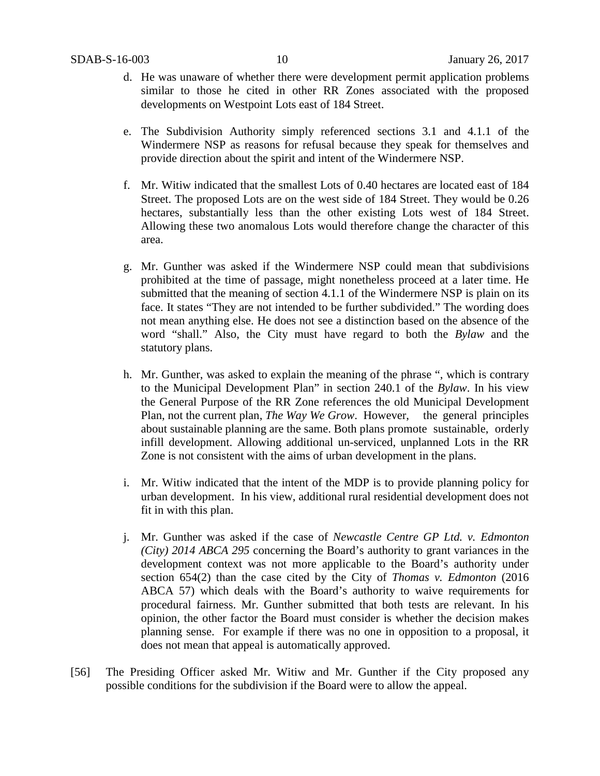- d. He was unaware of whether there were development permit application problems similar to those he cited in other RR Zones associated with the proposed developments on Westpoint Lots east of 184 Street.
- e. The Subdivision Authority simply referenced sections 3.1 and 4.1.1 of the Windermere NSP as reasons for refusal because they speak for themselves and provide direction about the spirit and intent of the Windermere NSP.
- f. Mr. Witiw indicated that the smallest Lots of 0.40 hectares are located east of 184 Street. The proposed Lots are on the west side of 184 Street. They would be 0.26 hectares, substantially less than the other existing Lots west of 184 Street. Allowing these two anomalous Lots would therefore change the character of this area.
- g. Mr. Gunther was asked if the Windermere NSP could mean that subdivisions prohibited at the time of passage, might nonetheless proceed at a later time. He submitted that the meaning of section 4.1.1 of the Windermere NSP is plain on its face. It states "They are not intended to be further subdivided." The wording does not mean anything else. He does not see a distinction based on the absence of the word "shall." Also, the City must have regard to both the *Bylaw* and the statutory plans.
- h. Mr. Gunther, was asked to explain the meaning of the phrase ", which is contrary to the Municipal Development Plan" in section 240.1 of the *Bylaw*. In his view the General Purpose of the RR Zone references the old Municipal Development Plan, not the current plan, *The Way We Grow*. However, the general principles about sustainable planning are the same. Both plans promote sustainable, orderly infill development. Allowing additional un-serviced, unplanned Lots in the RR Zone is not consistent with the aims of urban development in the plans.
- i. Mr. Witiw indicated that the intent of the MDP is to provide planning policy for urban development. In his view, additional rural residential development does not fit in with this plan.
- j. Mr. Gunther was asked if the case of *Newcastle Centre GP Ltd. v. Edmonton (City) 2014 ABCA 295* concerning the Board's authority to grant variances in the development context was not more applicable to the Board's authority under section 654(2) than the case cited by the City of *Thomas v. Edmonton* (2016 ABCA 57) which deals with the Board's authority to waive requirements for procedural fairness. Mr. Gunther submitted that both tests are relevant. In his opinion, the other factor the Board must consider is whether the decision makes planning sense. For example if there was no one in opposition to a proposal, it does not mean that appeal is automatically approved.
- [56] The Presiding Officer asked Mr. Witiw and Mr. Gunther if the City proposed any possible conditions for the subdivision if the Board were to allow the appeal.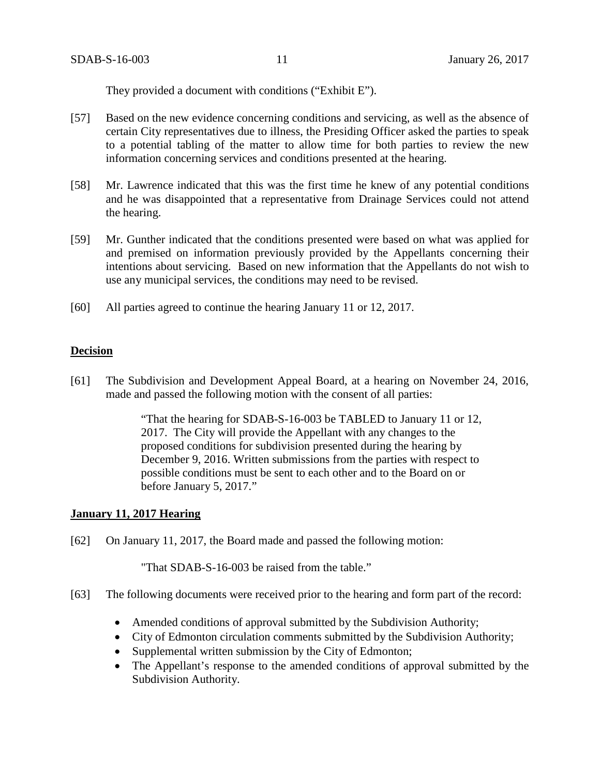They provided a document with conditions ("Exhibit E").

- [57] Based on the new evidence concerning conditions and servicing, as well as the absence of certain City representatives due to illness, the Presiding Officer asked the parties to speak to a potential tabling of the matter to allow time for both parties to review the new information concerning services and conditions presented at the hearing.
- [58] Mr. Lawrence indicated that this was the first time he knew of any potential conditions and he was disappointed that a representative from Drainage Services could not attend the hearing.
- [59] Mr. Gunther indicated that the conditions presented were based on what was applied for and premised on information previously provided by the Appellants concerning their intentions about servicing. Based on new information that the Appellants do not wish to use any municipal services, the conditions may need to be revised.
- [60] All parties agreed to continue the hearing January 11 or 12, 2017.

#### **Decision**

[61] The Subdivision and Development Appeal Board, at a hearing on November 24, 2016, made and passed the following motion with the consent of all parties:

> "That the hearing for SDAB-S-16-003 be TABLED to January 11 or 12, 2017. The City will provide the Appellant with any changes to the proposed conditions for subdivision presented during the hearing by December 9, 2016. Written submissions from the parties with respect to possible conditions must be sent to each other and to the Board on or before January 5, 2017."

#### **January 11, 2017 Hearing**

[62] On January 11, 2017, the Board made and passed the following motion:

"That SDAB-S-16-003 be raised from the table."

- [63] The following documents were received prior to the hearing and form part of the record:
	- Amended conditions of approval submitted by the Subdivision Authority;
	- City of Edmonton circulation comments submitted by the Subdivision Authority;
	- Supplemental written submission by the City of Edmonton;
	- The Appellant's response to the amended conditions of approval submitted by the Subdivision Authority.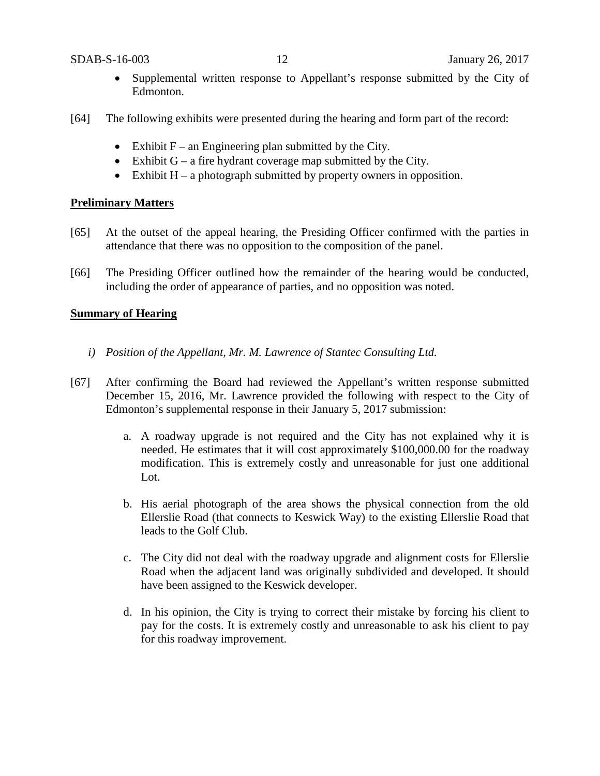- Supplemental written response to Appellant's response submitted by the City of Edmonton.
- [64] The following exhibits were presented during the hearing and form part of the record:
	- Exhibit  $F -$  an Engineering plan submitted by the City.
	- Exhibit  $G a$  fire hydrant coverage map submitted by the City.
	- Exhibit  $H a$  photograph submitted by property owners in opposition.

### **Preliminary Matters**

- [65] At the outset of the appeal hearing, the Presiding Officer confirmed with the parties in attendance that there was no opposition to the composition of the panel.
- [66] The Presiding Officer outlined how the remainder of the hearing would be conducted, including the order of appearance of parties, and no opposition was noted.

### **Summary of Hearing**

- *i) Position of the Appellant, Mr. M. Lawrence of Stantec Consulting Ltd.*
- [67] After confirming the Board had reviewed the Appellant's written response submitted December 15, 2016, Mr. Lawrence provided the following with respect to the City of Edmonton's supplemental response in their January 5, 2017 submission:
	- a. A roadway upgrade is not required and the City has not explained why it is needed. He estimates that it will cost approximately \$100,000.00 for the roadway modification. This is extremely costly and unreasonable for just one additional Lot.
	- b. His aerial photograph of the area shows the physical connection from the old Ellerslie Road (that connects to Keswick Way) to the existing Ellerslie Road that leads to the Golf Club.
	- c. The City did not deal with the roadway upgrade and alignment costs for Ellerslie Road when the adjacent land was originally subdivided and developed. It should have been assigned to the Keswick developer.
	- d. In his opinion, the City is trying to correct their mistake by forcing his client to pay for the costs. It is extremely costly and unreasonable to ask his client to pay for this roadway improvement.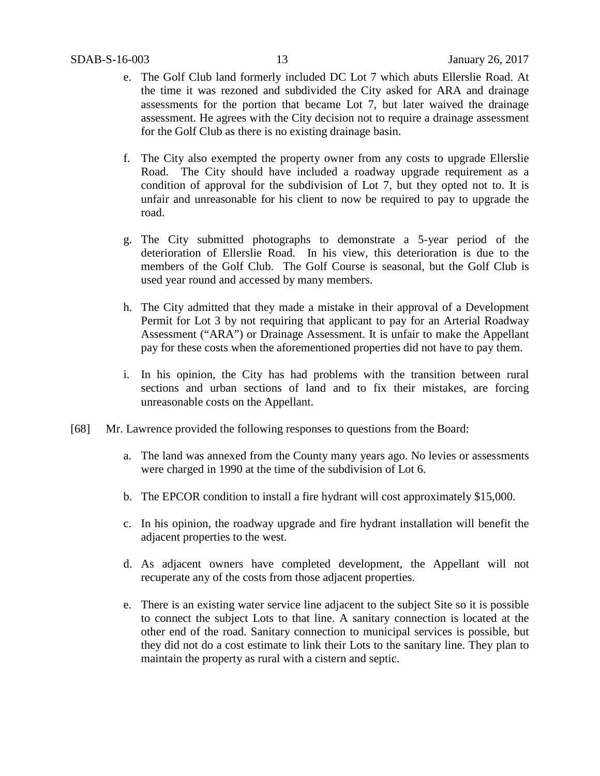- e. The Golf Club land formerly included DC Lot 7 which abuts Ellerslie Road. At the time it was rezoned and subdivided the City asked for ARA and drainage assessments for the portion that became Lot 7, but later waived the drainage assessment. He agrees with the City decision not to require a drainage assessment for the Golf Club as there is no existing drainage basin.
- f. The City also exempted the property owner from any costs to upgrade Ellerslie Road. The City should have included a roadway upgrade requirement as a condition of approval for the subdivision of Lot 7, but they opted not to. It is unfair and unreasonable for his client to now be required to pay to upgrade the road.
- g. The City submitted photographs to demonstrate a 5-year period of the deterioration of Ellerslie Road. In his view, this deterioration is due to the members of the Golf Club. The Golf Course is seasonal, but the Golf Club is used year round and accessed by many members.
- h. The City admitted that they made a mistake in their approval of a Development Permit for Lot 3 by not requiring that applicant to pay for an Arterial Roadway Assessment ("ARA") or Drainage Assessment. It is unfair to make the Appellant pay for these costs when the aforementioned properties did not have to pay them.
- i. In his opinion, the City has had problems with the transition between rural sections and urban sections of land and to fix their mistakes, are forcing unreasonable costs on the Appellant.
- [68] Mr. Lawrence provided the following responses to questions from the Board:
	- a. The land was annexed from the County many years ago. No levies or assessments were charged in 1990 at the time of the subdivision of Lot 6.
	- b. The EPCOR condition to install a fire hydrant will cost approximately \$15,000.
	- c. In his opinion, the roadway upgrade and fire hydrant installation will benefit the adjacent properties to the west.
	- d. As adjacent owners have completed development, the Appellant will not recuperate any of the costs from those adjacent properties.
	- e. There is an existing water service line adjacent to the subject Site so it is possible to connect the subject Lots to that line. A sanitary connection is located at the other end of the road. Sanitary connection to municipal services is possible, but they did not do a cost estimate to link their Lots to the sanitary line. They plan to maintain the property as rural with a cistern and septic.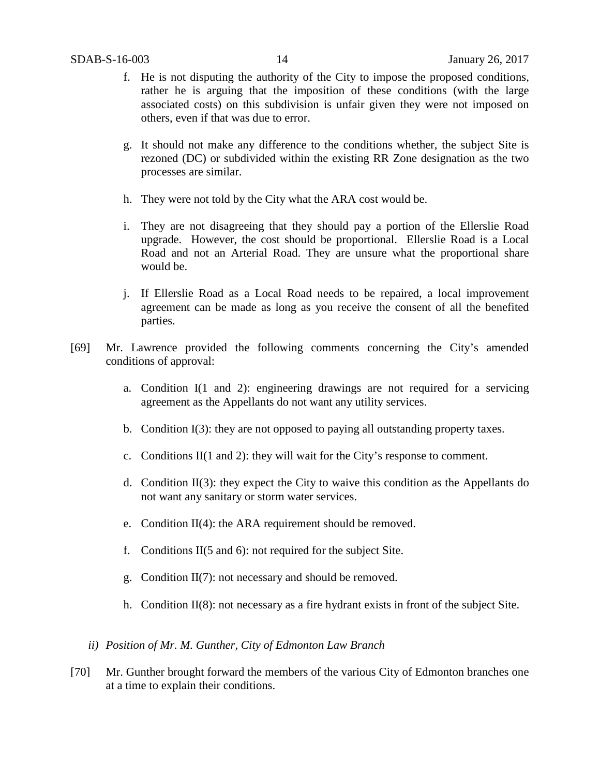- f. He is not disputing the authority of the City to impose the proposed conditions, rather he is arguing that the imposition of these conditions (with the large associated costs) on this subdivision is unfair given they were not imposed on others, even if that was due to error.
- g. It should not make any difference to the conditions whether, the subject Site is rezoned (DC) or subdivided within the existing RR Zone designation as the two processes are similar.
- h. They were not told by the City what the ARA cost would be.
- i. They are not disagreeing that they should pay a portion of the Ellerslie Road upgrade. However, the cost should be proportional. Ellerslie Road is a Local Road and not an Arterial Road. They are unsure what the proportional share would be.
- j. If Ellerslie Road as a Local Road needs to be repaired, a local improvement agreement can be made as long as you receive the consent of all the benefited parties.
- [69] Mr. Lawrence provided the following comments concerning the City's amended conditions of approval:
	- a. Condition I(1 and 2): engineering drawings are not required for a servicing agreement as the Appellants do not want any utility services.
	- b. Condition I(3): they are not opposed to paying all outstanding property taxes.
	- c. Conditions II(1 and 2): they will wait for the City's response to comment.
	- d. Condition II(3): they expect the City to waive this condition as the Appellants do not want any sanitary or storm water services.
	- e. Condition II(4): the ARA requirement should be removed.
	- f. Conditions II(5 and 6): not required for the subject Site.
	- g. Condition II(7): not necessary and should be removed.
	- h. Condition  $II(8)$ : not necessary as a fire hydrant exists in front of the subject Site.
	- *ii) Position of Mr. M. Gunther, City of Edmonton Law Branch*
- [70] Mr. Gunther brought forward the members of the various City of Edmonton branches one at a time to explain their conditions.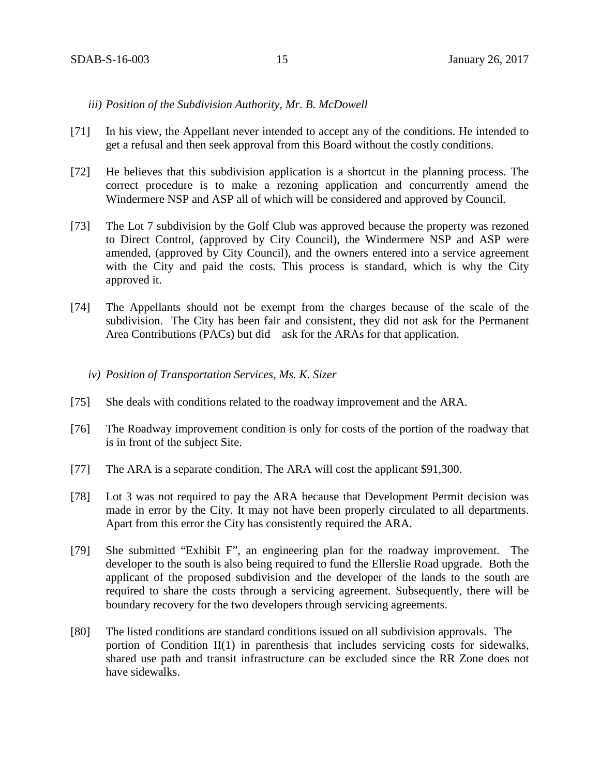#### *iii) Position of the Subdivision Authority, Mr. B. McDowell*

- [71] In his view, the Appellant never intended to accept any of the conditions. He intended to get a refusal and then seek approval from this Board without the costly conditions.
- [72] He believes that this subdivision application is a shortcut in the planning process. The correct procedure is to make a rezoning application and concurrently amend the Windermere NSP and ASP all of which will be considered and approved by Council.
- [73] The Lot 7 subdivision by the Golf Club was approved because the property was rezoned to Direct Control, (approved by City Council), the Windermere NSP and ASP were amended, (approved by City Council), and the owners entered into a service agreement with the City and paid the costs. This process is standard, which is why the City approved it.
- [74] The Appellants should not be exempt from the charges because of the scale of the subdivision. The City has been fair and consistent, they did not ask for the Permanent Area Contributions (PACs) but did ask for the ARAs for that application.
	- *iv) Position of Transportation Services, Ms. K. Sizer*
- [75] She deals with conditions related to the roadway improvement and the ARA.
- [76] The Roadway improvement condition is only for costs of the portion of the roadway that is in front of the subject Site.
- [77] The ARA is a separate condition. The ARA will cost the applicant \$91,300.
- [78] Lot 3 was not required to pay the ARA because that Development Permit decision was made in error by the City. It may not have been properly circulated to all departments. Apart from this error the City has consistently required the ARA.
- [79] She submitted "Exhibit F", an engineering plan for the roadway improvement. The developer to the south is also being required to fund the Ellerslie Road upgrade. Both the applicant of the proposed subdivision and the developer of the lands to the south are required to share the costs through a servicing agreement. Subsequently, there will be boundary recovery for the two developers through servicing agreements.
- [80] The listed conditions are standard conditions issued on all subdivision approvals. The portion of Condition II(1) in parenthesis that includes servicing costs for sidewalks, shared use path and transit infrastructure can be excluded since the RR Zone does not have sidewalks.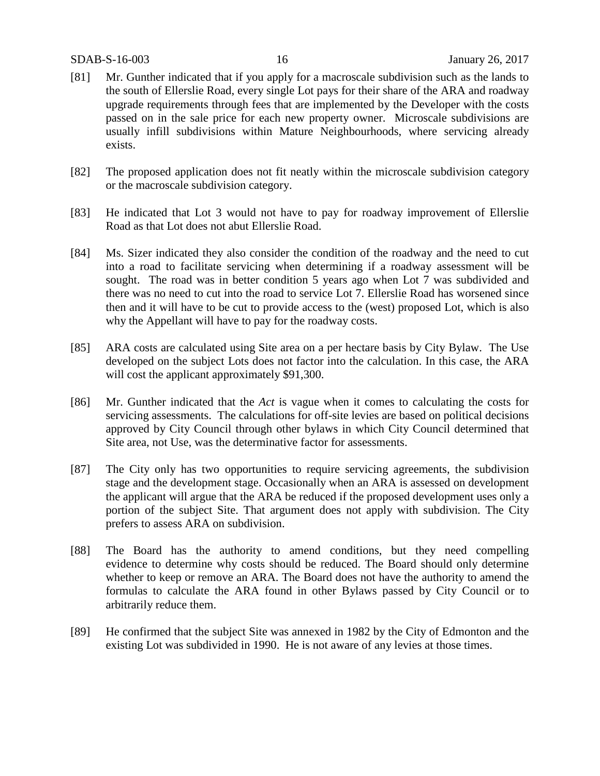- [81] Mr. Gunther indicated that if you apply for a macroscale subdivision such as the lands to the south of Ellerslie Road, every single Lot pays for their share of the ARA and roadway upgrade requirements through fees that are implemented by the Developer with the costs passed on in the sale price for each new property owner. Microscale subdivisions are usually infill subdivisions within Mature Neighbourhoods, where servicing already exists.
- [82] The proposed application does not fit neatly within the microscale subdivision category or the macroscale subdivision category.
- [83] He indicated that Lot 3 would not have to pay for roadway improvement of Ellerslie Road as that Lot does not abut Ellerslie Road.
- [84] Ms. Sizer indicated they also consider the condition of the roadway and the need to cut into a road to facilitate servicing when determining if a roadway assessment will be sought. The road was in better condition 5 years ago when Lot 7 was subdivided and there was no need to cut into the road to service Lot 7. Ellerslie Road has worsened since then and it will have to be cut to provide access to the (west) proposed Lot, which is also why the Appellant will have to pay for the roadway costs.
- [85] ARA costs are calculated using Site area on a per hectare basis by City Bylaw. The Use developed on the subject Lots does not factor into the calculation. In this case, the ARA will cost the applicant approximately \$91,300.
- [86] Mr. Gunther indicated that the *Act* is vague when it comes to calculating the costs for servicing assessments. The calculations for off-site levies are based on political decisions approved by City Council through other bylaws in which City Council determined that Site area, not Use, was the determinative factor for assessments.
- [87] The City only has two opportunities to require servicing agreements, the subdivision stage and the development stage. Occasionally when an ARA is assessed on development the applicant will argue that the ARA be reduced if the proposed development uses only a portion of the subject Site. That argument does not apply with subdivision. The City prefers to assess ARA on subdivision.
- [88] The Board has the authority to amend conditions, but they need compelling evidence to determine why costs should be reduced. The Board should only determine whether to keep or remove an ARA. The Board does not have the authority to amend the formulas to calculate the ARA found in other Bylaws passed by City Council or to arbitrarily reduce them.
- [89] He confirmed that the subject Site was annexed in 1982 by the City of Edmonton and the existing Lot was subdivided in 1990. He is not aware of any levies at those times.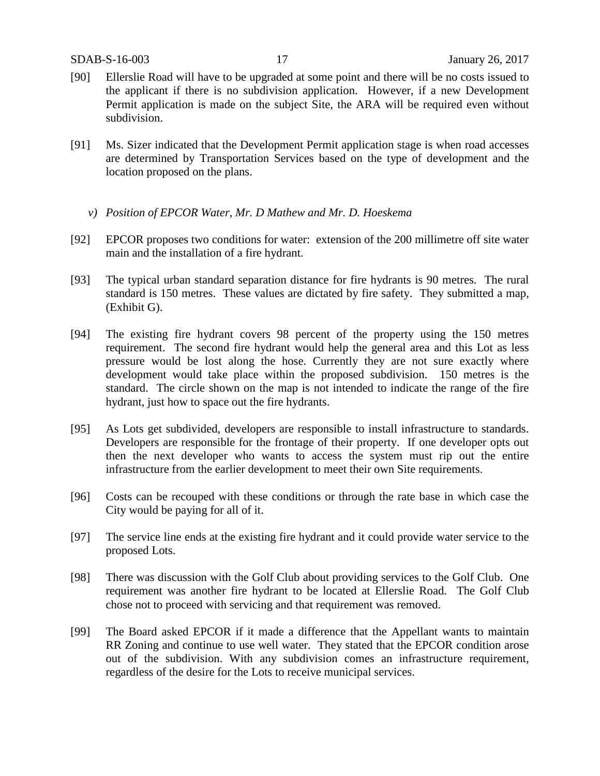- [90] Ellerslie Road will have to be upgraded at some point and there will be no costs issued to the applicant if there is no subdivision application. However, if a new Development Permit application is made on the subject Site, the ARA will be required even without subdivision.
- [91] Ms. Sizer indicated that the Development Permit application stage is when road accesses are determined by Transportation Services based on the type of development and the location proposed on the plans.
	- *v) Position of EPCOR Water, Mr. D Mathew and Mr. D. Hoeskema*
- [92] EPCOR proposes two conditions for water: extension of the 200 millimetre off site water main and the installation of a fire hydrant.
- [93] The typical urban standard separation distance for fire hydrants is 90 metres. The rural standard is 150 metres. These values are dictated by fire safety. They submitted a map, (Exhibit G).
- [94] The existing fire hydrant covers 98 percent of the property using the 150 metres requirement. The second fire hydrant would help the general area and this Lot as less pressure would be lost along the hose. Currently they are not sure exactly where development would take place within the proposed subdivision. 150 metres is the standard. The circle shown on the map is not intended to indicate the range of the fire hydrant, just how to space out the fire hydrants.
- [95] As Lots get subdivided, developers are responsible to install infrastructure to standards. Developers are responsible for the frontage of their property. If one developer opts out then the next developer who wants to access the system must rip out the entire infrastructure from the earlier development to meet their own Site requirements.
- [96] Costs can be recouped with these conditions or through the rate base in which case the City would be paying for all of it.
- [97] The service line ends at the existing fire hydrant and it could provide water service to the proposed Lots.
- [98] There was discussion with the Golf Club about providing services to the Golf Club. One requirement was another fire hydrant to be located at Ellerslie Road. The Golf Club chose not to proceed with servicing and that requirement was removed.
- [99] The Board asked EPCOR if it made a difference that the Appellant wants to maintain RR Zoning and continue to use well water. They stated that the EPCOR condition arose out of the subdivision. With any subdivision comes an infrastructure requirement, regardless of the desire for the Lots to receive municipal services.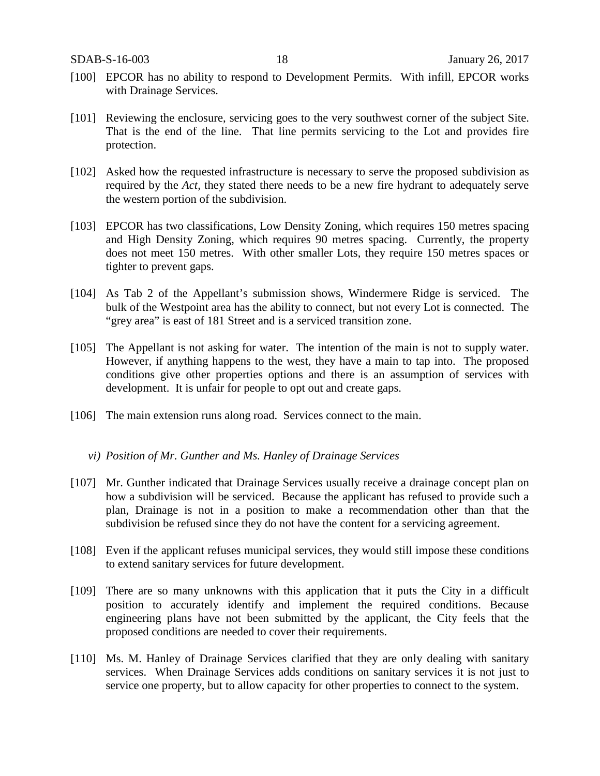- [100] EPCOR has no ability to respond to Development Permits. With infill, EPCOR works with Drainage Services.
- [101] Reviewing the enclosure, servicing goes to the very southwest corner of the subject Site. That is the end of the line. That line permits servicing to the Lot and provides fire protection.
- [102] Asked how the requested infrastructure is necessary to serve the proposed subdivision as required by the *Act,* they stated there needs to be a new fire hydrant to adequately serve the western portion of the subdivision.
- [103] EPCOR has two classifications, Low Density Zoning, which requires 150 metres spacing and High Density Zoning, which requires 90 metres spacing. Currently, the property does not meet 150 metres. With other smaller Lots, they require 150 metres spaces or tighter to prevent gaps.
- [104] As Tab 2 of the Appellant's submission shows, Windermere Ridge is serviced. The bulk of the Westpoint area has the ability to connect, but not every Lot is connected. The "grey area" is east of 181 Street and is a serviced transition zone.
- [105] The Appellant is not asking for water. The intention of the main is not to supply water. However, if anything happens to the west, they have a main to tap into. The proposed conditions give other properties options and there is an assumption of services with development. It is unfair for people to opt out and create gaps.
- [106] The main extension runs along road. Services connect to the main.
	- *vi) Position of Mr. Gunther and Ms. Hanley of Drainage Services*
- [107] Mr. Gunther indicated that Drainage Services usually receive a drainage concept plan on how a subdivision will be serviced. Because the applicant has refused to provide such a plan, Drainage is not in a position to make a recommendation other than that the subdivision be refused since they do not have the content for a servicing agreement.
- [108] Even if the applicant refuses municipal services, they would still impose these conditions to extend sanitary services for future development.
- [109] There are so many unknowns with this application that it puts the City in a difficult position to accurately identify and implement the required conditions. Because engineering plans have not been submitted by the applicant, the City feels that the proposed conditions are needed to cover their requirements.
- [110] Ms. M. Hanley of Drainage Services clarified that they are only dealing with sanitary services. When Drainage Services adds conditions on sanitary services it is not just to service one property, but to allow capacity for other properties to connect to the system.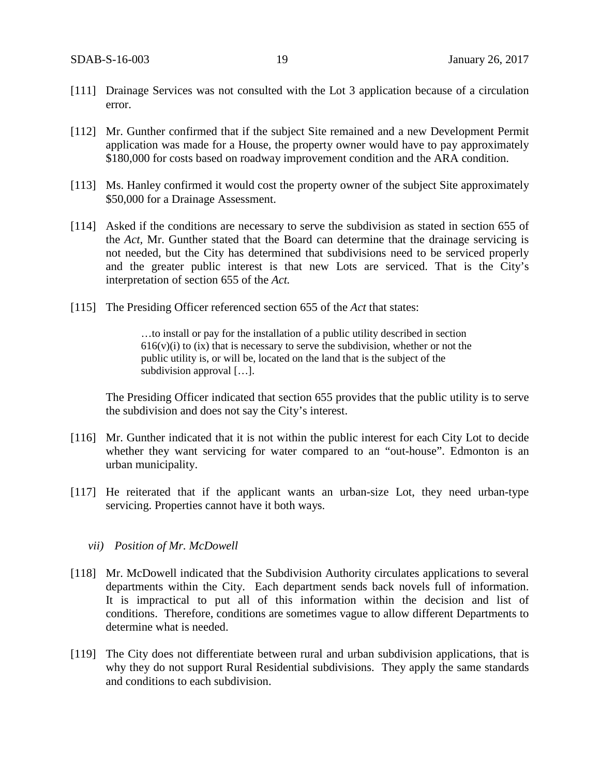- [111] Drainage Services was not consulted with the Lot 3 application because of a circulation error.
- [112] Mr. Gunther confirmed that if the subject Site remained and a new Development Permit application was made for a House, the property owner would have to pay approximately \$180,000 for costs based on roadway improvement condition and the ARA condition.
- [113] Ms. Hanley confirmed it would cost the property owner of the subject Site approximately \$50,000 for a Drainage Assessment.
- [114] Asked if the conditions are necessary to serve the subdivision as stated in section 655 of the *Act,* Mr. Gunther stated that the Board can determine that the drainage servicing is not needed, but the City has determined that subdivisions need to be serviced properly and the greater public interest is that new Lots are serviced. That is the City's interpretation of section 655 of the *Act.*
- [115] The Presiding Officer referenced section 655 of the *Act* that states:

…to install or pay for the installation of a public utility described in section  $616(v)(i)$  to (ix) that is necessary to serve the subdivision, whether or not the public utility is, or will be, located on the land that is the subject of the subdivision approval […].

The Presiding Officer indicated that section 655 provides that the public utility is to serve the subdivision and does not say the City's interest.

- [116] Mr. Gunther indicated that it is not within the public interest for each City Lot to decide whether they want servicing for water compared to an "out-house". Edmonton is an urban municipality.
- [117] He reiterated that if the applicant wants an urban-size Lot, they need urban-type servicing. Properties cannot have it both ways.

#### *vii) Position of Mr. McDowell*

- [118] Mr. McDowell indicated that the Subdivision Authority circulates applications to several departments within the City. Each department sends back novels full of information. It is impractical to put all of this information within the decision and list of conditions. Therefore, conditions are sometimes vague to allow different Departments to determine what is needed.
- [119] The City does not differentiate between rural and urban subdivision applications, that is why they do not support Rural Residential subdivisions. They apply the same standards and conditions to each subdivision.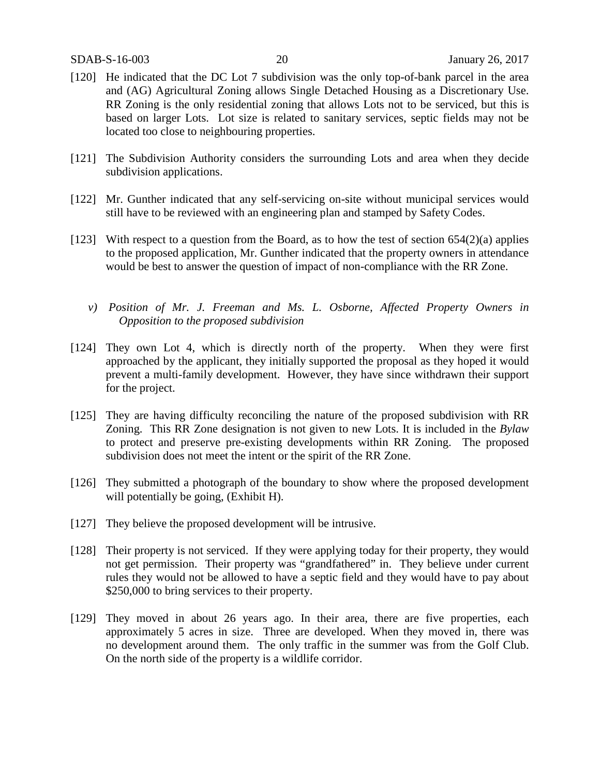- [120] He indicated that the DC Lot 7 subdivision was the only top-of-bank parcel in the area and (AG) Agricultural Zoning allows Single Detached Housing as a Discretionary Use. RR Zoning is the only residential zoning that allows Lots not to be serviced, but this is based on larger Lots. Lot size is related to sanitary services, septic fields may not be located too close to neighbouring properties.
- [121] The Subdivision Authority considers the surrounding Lots and area when they decide subdivision applications.
- [122] Mr. Gunther indicated that any self-servicing on-site without municipal services would still have to be reviewed with an engineering plan and stamped by Safety Codes.
- [123] With respect to a question from the Board, as to how the test of section  $654(2)(a)$  applies to the proposed application, Mr. Gunther indicated that the property owners in attendance would be best to answer the question of impact of non-compliance with the RR Zone.
	- *v) Position of Mr. J. Freeman and Ms. L. Osborne, Affected Property Owners in Opposition to the proposed subdivision*
- [124] They own Lot 4, which is directly north of the property. When they were first approached by the applicant, they initially supported the proposal as they hoped it would prevent a multi-family development. However, they have since withdrawn their support for the project.
- [125] They are having difficulty reconciling the nature of the proposed subdivision with RR Zoning. This RR Zone designation is not given to new Lots. It is included in the *Bylaw*  to protect and preserve pre-existing developments within RR Zoning. The proposed subdivision does not meet the intent or the spirit of the RR Zone.
- [126] They submitted a photograph of the boundary to show where the proposed development will potentially be going, (Exhibit H).
- [127] They believe the proposed development will be intrusive.
- [128] Their property is not serviced. If they were applying today for their property, they would not get permission. Their property was "grandfathered" in. They believe under current rules they would not be allowed to have a septic field and they would have to pay about \$250,000 to bring services to their property.
- [129] They moved in about 26 years ago. In their area, there are five properties, each approximately 5 acres in size. Three are developed. When they moved in, there was no development around them. The only traffic in the summer was from the Golf Club. On the north side of the property is a wildlife corridor.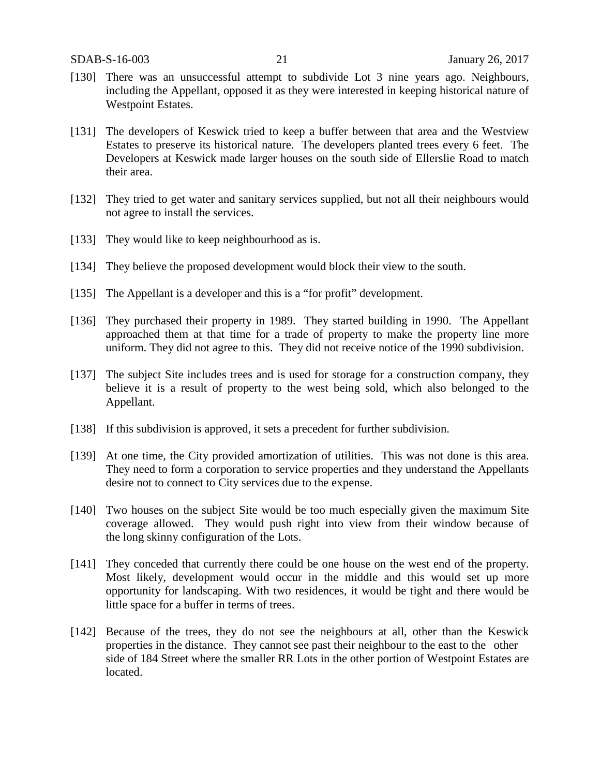- [130] There was an unsuccessful attempt to subdivide Lot 3 nine years ago. Neighbours, including the Appellant, opposed it as they were interested in keeping historical nature of Westpoint Estates.
- [131] The developers of Keswick tried to keep a buffer between that area and the Westview Estates to preserve its historical nature. The developers planted trees every 6 feet. The Developers at Keswick made larger houses on the south side of Ellerslie Road to match their area.
- [132] They tried to get water and sanitary services supplied, but not all their neighbours would not agree to install the services.
- [133] They would like to keep neighbourhood as is.
- [134] They believe the proposed development would block their view to the south.
- [135] The Appellant is a developer and this is a "for profit" development.
- [136] They purchased their property in 1989. They started building in 1990. The Appellant approached them at that time for a trade of property to make the property line more uniform. They did not agree to this. They did not receive notice of the 1990 subdivision.
- [137] The subject Site includes trees and is used for storage for a construction company, they believe it is a result of property to the west being sold, which also belonged to the Appellant.
- [138] If this subdivision is approved, it sets a precedent for further subdivision.
- [139] At one time, the City provided amortization of utilities. This was not done is this area. They need to form a corporation to service properties and they understand the Appellants desire not to connect to City services due to the expense.
- [140] Two houses on the subject Site would be too much especially given the maximum Site coverage allowed. They would push right into view from their window because of the long skinny configuration of the Lots.
- [141] They conceded that currently there could be one house on the west end of the property. Most likely, development would occur in the middle and this would set up more opportunity for landscaping. With two residences, it would be tight and there would be little space for a buffer in terms of trees.
- [142] Because of the trees, they do not see the neighbours at all, other than the Keswick properties in the distance. They cannot see past their neighbour to the east to the other side of 184 Street where the smaller RR Lots in the other portion of Westpoint Estates are located.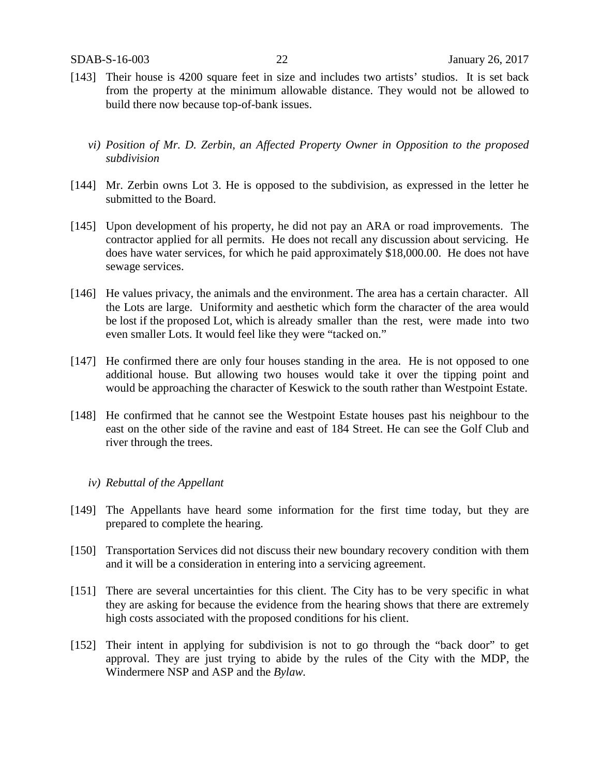- [143] Their house is 4200 square feet in size and includes two artists' studios. It is set back from the property at the minimum allowable distance. They would not be allowed to build there now because top-of-bank issues.
	- *vi) Position of Mr. D. Zerbin, an Affected Property Owner in Opposition to the proposed subdivision*
- [144] Mr. Zerbin owns Lot 3. He is opposed to the subdivision, as expressed in the letter he submitted to the Board.
- [145] Upon development of his property, he did not pay an ARA or road improvements. The contractor applied for all permits. He does not recall any discussion about servicing. He does have water services, for which he paid approximately \$18,000.00. He does not have sewage services.
- [146] He values privacy, the animals and the environment. The area has a certain character. All the Lots are large. Uniformity and aesthetic which form the character of the area would be lost if the proposed Lot, which is already smaller than the rest, were made into two even smaller Lots. It would feel like they were "tacked on."
- [147] He confirmed there are only four houses standing in the area. He is not opposed to one additional house. But allowing two houses would take it over the tipping point and would be approaching the character of Keswick to the south rather than Westpoint Estate.
- [148] He confirmed that he cannot see the Westpoint Estate houses past his neighbour to the east on the other side of the ravine and east of 184 Street. He can see the Golf Club and river through the trees.

#### *iv) Rebuttal of the Appellant*

- [149] The Appellants have heard some information for the first time today, but they are prepared to complete the hearing.
- [150] Transportation Services did not discuss their new boundary recovery condition with them and it will be a consideration in entering into a servicing agreement.
- [151] There are several uncertainties for this client. The City has to be very specific in what they are asking for because the evidence from the hearing shows that there are extremely high costs associated with the proposed conditions for his client.
- [152] Their intent in applying for subdivision is not to go through the "back door" to get approval. They are just trying to abide by the rules of the City with the MDP, the Windermere NSP and ASP and the *Bylaw.*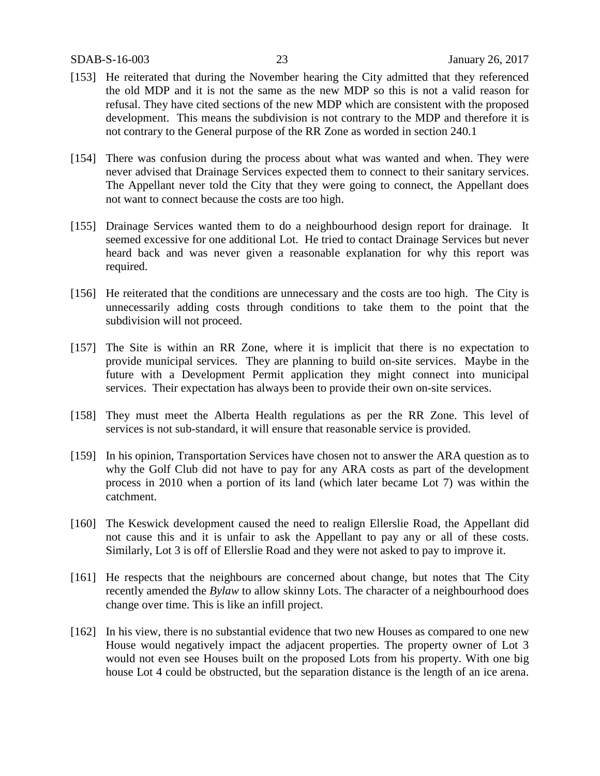- [153] He reiterated that during the November hearing the City admitted that they referenced the old MDP and it is not the same as the new MDP so this is not a valid reason for refusal. They have cited sections of the new MDP which are consistent with the proposed development. This means the subdivision is not contrary to the MDP and therefore it is not contrary to the General purpose of the RR Zone as worded in section 240.1
- [154] There was confusion during the process about what was wanted and when. They were never advised that Drainage Services expected them to connect to their sanitary services. The Appellant never told the City that they were going to connect, the Appellant does not want to connect because the costs are too high.
- [155] Drainage Services wanted them to do a neighbourhood design report for drainage. It seemed excessive for one additional Lot. He tried to contact Drainage Services but never heard back and was never given a reasonable explanation for why this report was required.
- [156] He reiterated that the conditions are unnecessary and the costs are too high. The City is unnecessarily adding costs through conditions to take them to the point that the subdivision will not proceed.
- [157] The Site is within an RR Zone, where it is implicit that there is no expectation to provide municipal services. They are planning to build on-site services. Maybe in the future with a Development Permit application they might connect into municipal services. Their expectation has always been to provide their own on-site services.
- [158] They must meet the Alberta Health regulations as per the RR Zone. This level of services is not sub-standard, it will ensure that reasonable service is provided.
- [159] In his opinion, Transportation Services have chosen not to answer the ARA question as to why the Golf Club did not have to pay for any ARA costs as part of the development process in 2010 when a portion of its land (which later became Lot 7) was within the catchment.
- [160] The Keswick development caused the need to realign Ellerslie Road, the Appellant did not cause this and it is unfair to ask the Appellant to pay any or all of these costs. Similarly, Lot 3 is off of Ellerslie Road and they were not asked to pay to improve it.
- [161] He respects that the neighbours are concerned about change, but notes that The City recently amended the *Bylaw* to allow skinny Lots. The character of a neighbourhood does change over time. This is like an infill project.
- [162] In his view, there is no substantial evidence that two new Houses as compared to one new House would negatively impact the adjacent properties. The property owner of Lot 3 would not even see Houses built on the proposed Lots from his property. With one big house Lot 4 could be obstructed, but the separation distance is the length of an ice arena.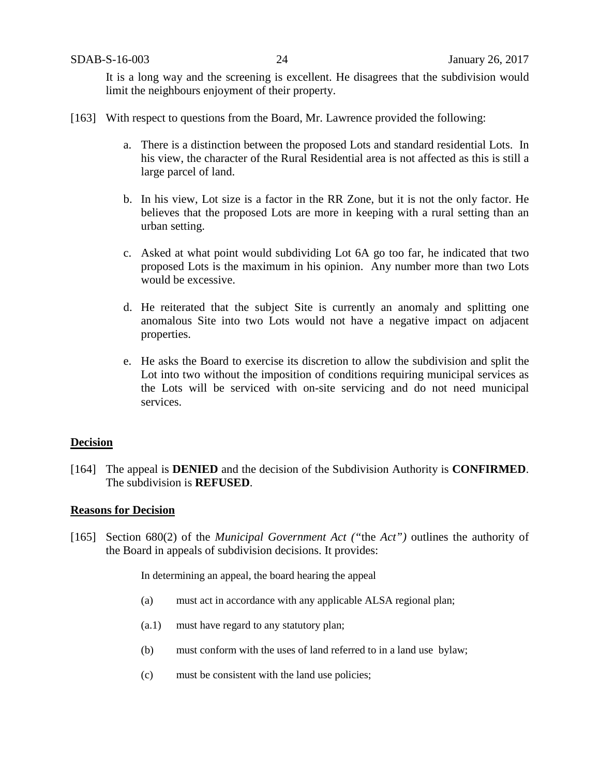It is a long way and the screening is excellent. He disagrees that the subdivision would limit the neighbours enjoyment of their property.

- [163] With respect to questions from the Board, Mr. Lawrence provided the following:
	- a. There is a distinction between the proposed Lots and standard residential Lots. In his view, the character of the Rural Residential area is not affected as this is still a large parcel of land.
	- b. In his view, Lot size is a factor in the RR Zone, but it is not the only factor. He believes that the proposed Lots are more in keeping with a rural setting than an urban setting.
	- c. Asked at what point would subdividing Lot 6A go too far, he indicated that two proposed Lots is the maximum in his opinion. Any number more than two Lots would be excessive.
	- d. He reiterated that the subject Site is currently an anomaly and splitting one anomalous Site into two Lots would not have a negative impact on adjacent properties.
	- e. He asks the Board to exercise its discretion to allow the subdivision and split the Lot into two without the imposition of conditions requiring municipal services as the Lots will be serviced with on-site servicing and do not need municipal services.

#### **Decision**

[164] The appeal is **DENIED** and the decision of the Subdivision Authority is **CONFIRMED**. The subdivision is **REFUSED**.

#### **Reasons for Decision**

[165] Section 680(2) of the *Municipal Government Act ("*the *Act")* outlines the authority of the Board in appeals of subdivision decisions. It provides:

In determining an appeal, the board hearing the appeal

- (a) must act in accordance with any applicable ALSA regional plan;
- (a.1) must have regard to any statutory plan;
- (b) must conform with the uses of land referred to in a land use bylaw;
- (c) must be consistent with the land use policies;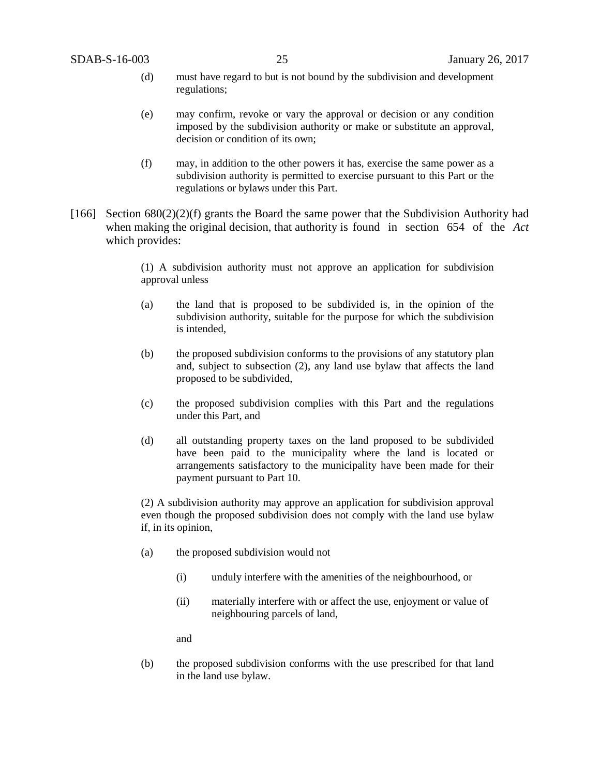- (d) must have regard to but is not bound by the subdivision and development regulations;
- (e) may confirm, revoke or vary the approval or decision or any condition imposed by the subdivision authority or make or substitute an approval, decision or condition of its own;
- (f) may, in addition to the other powers it has, exercise the same power as a subdivision authority is permitted to exercise pursuant to this Part or the regulations or bylaws under this Part.
- [166] Section  $680(2)(2)(f)$  grants the Board the same power that the Subdivision Authority had when making the original decision, that authority is found in section 654 of the *Act*  which provides:

(1) A subdivision authority must not approve an application for subdivision approval unless

- (a) the land that is proposed to be subdivided is, in the opinion of the subdivision authority, suitable for the purpose for which the subdivision is intended,
- (b) the proposed subdivision conforms to the provisions of any statutory plan and, subject to subsection (2), any land use bylaw that affects the land proposed to be subdivided,
- (c) the proposed subdivision complies with this Part and the regulations under this Part, and
- (d) all outstanding property taxes on the land proposed to be subdivided have been paid to the municipality where the land is located or arrangements satisfactory to the municipality have been made for their payment pursuant to Part 10.

(2) A subdivision authority may approve an application for subdivision approval even though the proposed subdivision does not comply with the land use bylaw if, in its opinion,

- (a) the proposed subdivision would not
	- (i) unduly interfere with the amenities of the neighbourhood, or
	- (ii) materially interfere with or affect the use, enjoyment or value of neighbouring parcels of land,

and

(b) the proposed subdivision conforms with the use prescribed for that land in the land use bylaw.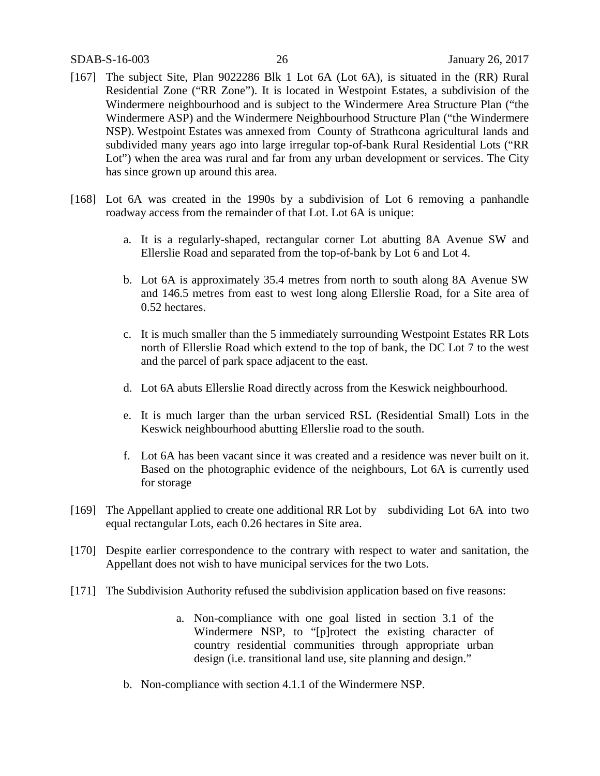- [167] The subject Site, Plan 9022286 Blk 1 Lot 6A (Lot 6A), is situated in the (RR) Rural Residential Zone ("RR Zone"). It is located in Westpoint Estates, a subdivision of the Windermere neighbourhood and is subject to the Windermere Area Structure Plan ("the Windermere ASP) and the Windermere Neighbourhood Structure Plan ("the Windermere NSP). Westpoint Estates was annexed from County of Strathcona agricultural lands and subdivided many years ago into large irregular top-of-bank Rural Residential Lots ("RR Lot") when the area was rural and far from any urban development or services. The City has since grown up around this area.
- [168] Lot 6A was created in the 1990s by a subdivision of Lot 6 removing a panhandle roadway access from the remainder of that Lot. Lot 6A is unique:
	- a. It is a regularly-shaped, rectangular corner Lot abutting 8A Avenue SW and Ellerslie Road and separated from the top-of-bank by Lot 6 and Lot 4.
	- b. Lot 6A is approximately 35.4 metres from north to south along 8A Avenue SW and 146.5 metres from east to west long along Ellerslie Road, for a Site area of 0.52 hectares.
	- c. It is much smaller than the 5 immediately surrounding Westpoint Estates RR Lots north of Ellerslie Road which extend to the top of bank, the DC Lot 7 to the west and the parcel of park space adjacent to the east.
	- d. Lot 6A abuts Ellerslie Road directly across from the Keswick neighbourhood.
	- e. It is much larger than the urban serviced RSL (Residential Small) Lots in the Keswick neighbourhood abutting Ellerslie road to the south.
	- f. Lot 6A has been vacant since it was created and a residence was never built on it. Based on the photographic evidence of the neighbours, Lot 6A is currently used for storage
- [169] The Appellant applied to create one additional RR Lot by subdividing Lot 6A into two equal rectangular Lots, each 0.26 hectares in Site area.
- [170] Despite earlier correspondence to the contrary with respect to water and sanitation, the Appellant does not wish to have municipal services for the two Lots.
- [171] The Subdivision Authority refused the subdivision application based on five reasons:
	- a. Non-compliance with one goal listed in section 3.1 of the Windermere NSP, to "[p]rotect the existing character of country residential communities through appropriate urban design (*i.e.* transitional land use, site planning and design."
	- b. Non-compliance with section 4.1.1 of the Windermere NSP.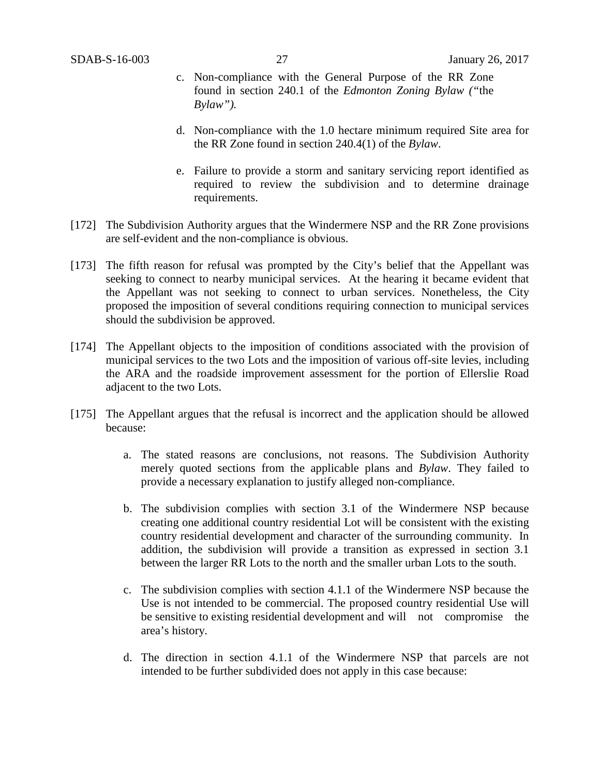- c. Non-compliance with the General Purpose of the RR Zone found in section 240.1 of the *Edmonton Zoning Bylaw ("*the *Bylaw").*
- d. Non-compliance with the 1.0 hectare minimum required Site area for the RR Zone found in section 240.4(1) of the *Bylaw*.
- e. Failure to provide a storm and sanitary servicing report identified as required to review the subdivision and to determine drainage requirements.
- [172] The Subdivision Authority argues that the Windermere NSP and the RR Zone provisions are self-evident and the non-compliance is obvious.
- [173] The fifth reason for refusal was prompted by the City's belief that the Appellant was seeking to connect to nearby municipal services. At the hearing it became evident that the Appellant was not seeking to connect to urban services. Nonetheless, the City proposed the imposition of several conditions requiring connection to municipal services should the subdivision be approved.
- [174] The Appellant objects to the imposition of conditions associated with the provision of municipal services to the two Lots and the imposition of various off-site levies, including the ARA and the roadside improvement assessment for the portion of Ellerslie Road adjacent to the two Lots.
- [175] The Appellant argues that the refusal is incorrect and the application should be allowed because:
	- a. The stated reasons are conclusions, not reasons. The Subdivision Authority merely quoted sections from the applicable plans and *Bylaw*. They failed to provide a necessary explanation to justify alleged non-compliance.
	- b. The subdivision complies with section 3.1 of the Windermere NSP because creating one additional country residential Lot will be consistent with the existing country residential development and character of the surrounding community. In addition, the subdivision will provide a transition as expressed in section 3.1 between the larger RR Lots to the north and the smaller urban Lots to the south.
	- c. The subdivision complies with section 4.1.1 of the Windermere NSP because the Use is not intended to be commercial. The proposed country residential Use will be sensitive to existing residential development and will not compromise the area's history.
	- d. The direction in section 4.1.1 of the Windermere NSP that parcels are not intended to be further subdivided does not apply in this case because: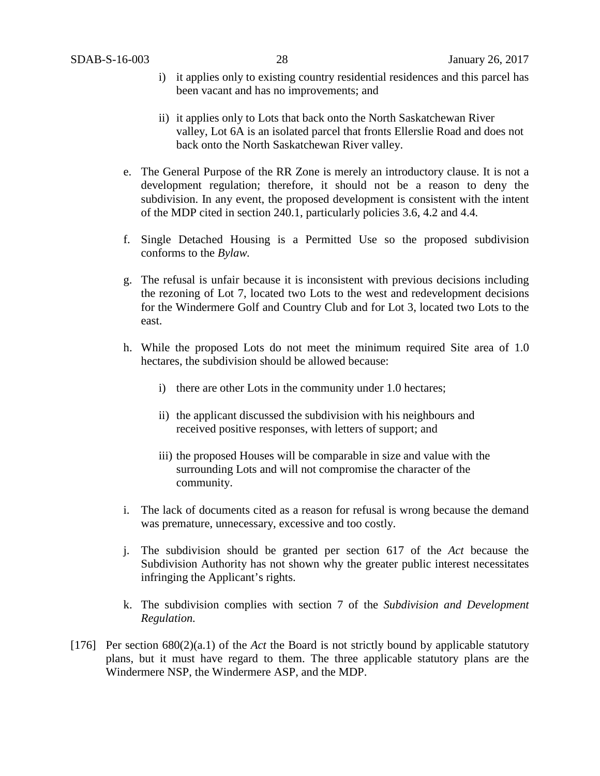- i) it applies only to existing country residential residences and this parcel has been vacant and has no improvements; and
- ii) it applies only to Lots that back onto the North Saskatchewan River valley, Lot 6A is an isolated parcel that fronts Ellerslie Road and does not back onto the North Saskatchewan River valley.
- e. The General Purpose of the RR Zone is merely an introductory clause. It is not a development regulation; therefore, it should not be a reason to deny the subdivision. In any event, the proposed development is consistent with the intent of the MDP cited in section 240.1, particularly policies 3.6, 4.2 and 4.4*.*
- f. Single Detached Housing is a Permitted Use so the proposed subdivision conforms to the *Bylaw.*
- g. The refusal is unfair because it is inconsistent with previous decisions including the rezoning of Lot 7, located two Lots to the west and redevelopment decisions for the Windermere Golf and Country Club and for Lot 3, located two Lots to the east.
- h. While the proposed Lots do not meet the minimum required Site area of 1.0 hectares, the subdivision should be allowed because:
	- i) there are other Lots in the community under 1.0 hectares;
	- ii) the applicant discussed the subdivision with his neighbours and received positive responses, with letters of support; and
	- iii) the proposed Houses will be comparable in size and value with the surrounding Lots and will not compromise the character of the community.
- i. The lack of documents cited as a reason for refusal is wrong because the demand was premature, unnecessary, excessive and too costly.
- j. The subdivision should be granted per section 617 of the *Act* because the Subdivision Authority has not shown why the greater public interest necessitates infringing the Applicant's rights.
- k. The subdivision complies with section 7 of the *Subdivision and Development Regulation.*
- [176] Per section 680(2)(a.1) of the *Act* the Board is not strictly bound by applicable statutory plans, but it must have regard to them. The three applicable statutory plans are the Windermere NSP, the Windermere ASP, and the MDP.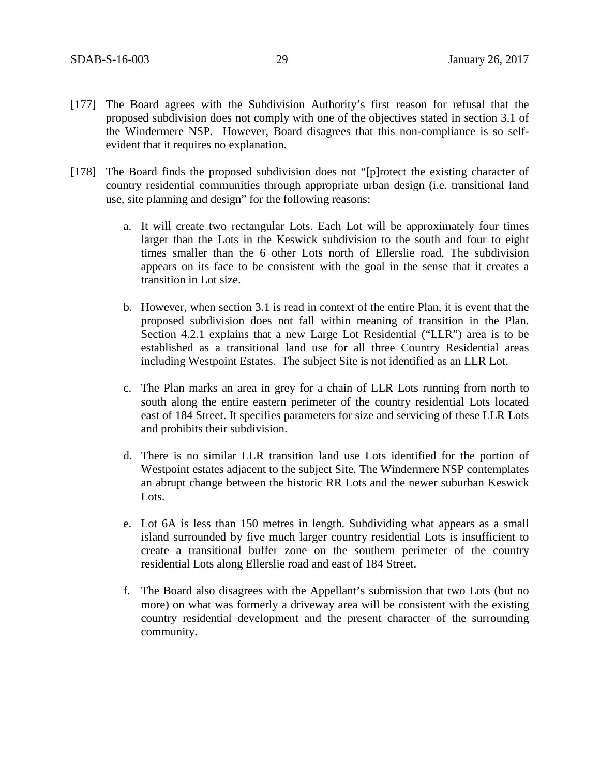- [177] The Board agrees with the Subdivision Authority's first reason for refusal that the proposed subdivision does not comply with one of the objectives stated in section 3.1 of the Windermere NSP. However, Board disagrees that this non-compliance is so selfevident that it requires no explanation.
- [178] The Board finds the proposed subdivision does not "[p]rotect the existing character of country residential communities through appropriate urban design (i.e. transitional land use, site planning and design" for the following reasons:
	- a. It will create two rectangular Lots. Each Lot will be approximately four times larger than the Lots in the Keswick subdivision to the south and four to eight times smaller than the 6 other Lots north of Ellerslie road. The subdivision appears on its face to be consistent with the goal in the sense that it creates a transition in Lot size.
	- b. However, when section 3.1 is read in context of the entire Plan, it is event that the proposed subdivision does not fall within meaning of transition in the Plan. Section 4.2.1 explains that a new Large Lot Residential ("LLR") area is to be established as a transitional land use for all three Country Residential areas including Westpoint Estates. The subject Site is not identified as an LLR Lot.
	- c. The Plan marks an area in grey for a chain of LLR Lots running from north to south along the entire eastern perimeter of the country residential Lots located east of 184 Street. It specifies parameters for size and servicing of these LLR Lots and prohibits their subdivision.
	- d. There is no similar LLR transition land use Lots identified for the portion of Westpoint estates adjacent to the subject Site. The Windermere NSP contemplates an abrupt change between the historic RR Lots and the newer suburban Keswick Lots.
	- e. Lot 6A is less than 150 metres in length. Subdividing what appears as a small island surrounded by five much larger country residential Lots is insufficient to create a transitional buffer zone on the southern perimeter of the country residential Lots along Ellerslie road and east of 184 Street.
	- f. The Board also disagrees with the Appellant's submission that two Lots (but no more) on what was formerly a driveway area will be consistent with the existing country residential development and the present character of the surrounding community.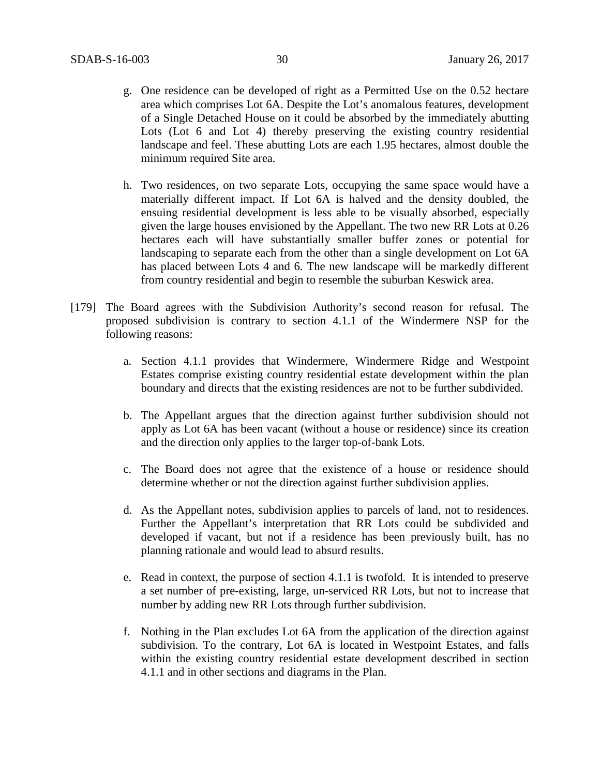- g. One residence can be developed of right as a Permitted Use on the 0.52 hectare area which comprises Lot 6A. Despite the Lot's anomalous features, development of a Single Detached House on it could be absorbed by the immediately abutting Lots (Lot 6 and Lot 4) thereby preserving the existing country residential landscape and feel. These abutting Lots are each 1.95 hectares, almost double the minimum required Site area.
- h. Two residences, on two separate Lots, occupying the same space would have a materially different impact. If Lot 6A is halved and the density doubled, the ensuing residential development is less able to be visually absorbed, especially given the large houses envisioned by the Appellant. The two new RR Lots at 0.26 hectares each will have substantially smaller buffer zones or potential for landscaping to separate each from the other than a single development on Lot 6A has placed between Lots 4 and 6. The new landscape will be markedly different from country residential and begin to resemble the suburban Keswick area.
- [179] The Board agrees with the Subdivision Authority's second reason for refusal. The proposed subdivision is contrary to section 4.1.1 of the Windermere NSP for the following reasons:
	- a. Section 4.1.1 provides that Windermere, Windermere Ridge and Westpoint Estates comprise existing country residential estate development within the plan boundary and directs that the existing residences are not to be further subdivided.
	- b. The Appellant argues that the direction against further subdivision should not apply as Lot 6A has been vacant (without a house or residence) since its creation and the direction only applies to the larger top-of-bank Lots.
	- c. The Board does not agree that the existence of a house or residence should determine whether or not the direction against further subdivision applies.
	- d. As the Appellant notes, subdivision applies to parcels of land, not to residences. Further the Appellant's interpretation that RR Lots could be subdivided and developed if vacant, but not if a residence has been previously built, has no planning rationale and would lead to absurd results.
	- e. Read in context, the purpose of section 4.1.1 is twofold. It is intended to preserve a set number of pre-existing, large, un-serviced RR Lots, but not to increase that number by adding new RR Lots through further subdivision.
	- f. Nothing in the Plan excludes Lot 6A from the application of the direction against subdivision. To the contrary, Lot 6A is located in Westpoint Estates, and falls within the existing country residential estate development described in section 4.1.1 and in other sections and diagrams in the Plan.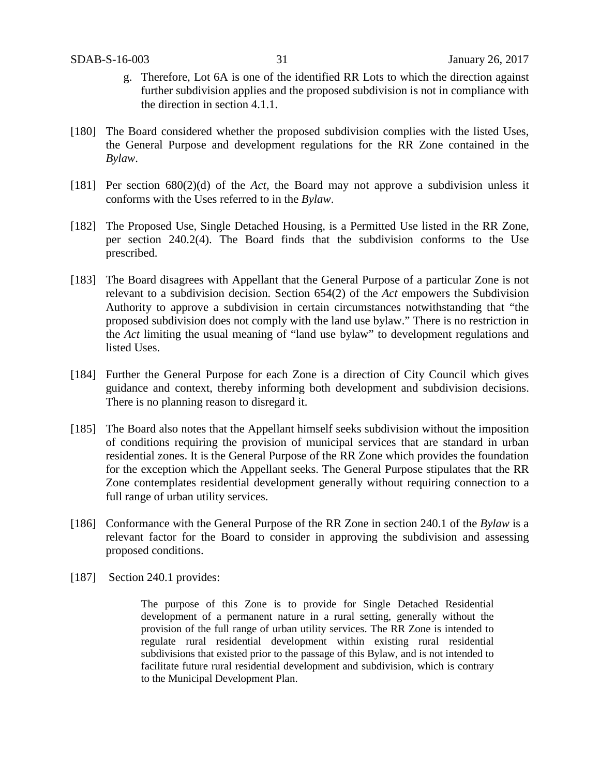- g. Therefore, Lot 6A is one of the identified RR Lots to which the direction against further subdivision applies and the proposed subdivision is not in compliance with the direction in section 4.1.1.
- [180] The Board considered whether the proposed subdivision complies with the listed Uses, the General Purpose and development regulations for the RR Zone contained in the *Bylaw*.
- [181] Per section 680(2)(d) of the *Act,* the Board may not approve a subdivision unless it conforms with the Uses referred to in the *Bylaw*.
- [182] The Proposed Use, Single Detached Housing, is a Permitted Use listed in the RR Zone, per section 240.2(4). The Board finds that the subdivision conforms to the Use prescribed.
- [183] The Board disagrees with Appellant that the General Purpose of a particular Zone is not relevant to a subdivision decision. Section 654(2) of the *Act* empowers the Subdivision Authority to approve a subdivision in certain circumstances notwithstanding that "the proposed subdivision does not comply with the land use bylaw." There is no restriction in the *Act* limiting the usual meaning of "land use bylaw" to development regulations and listed Uses.
- [184] Further the General Purpose for each Zone is a direction of City Council which gives guidance and context, thereby informing both development and subdivision decisions. There is no planning reason to disregard it.
- [185] The Board also notes that the Appellant himself seeks subdivision without the imposition of conditions requiring the provision of municipal services that are standard in urban residential zones. It is the General Purpose of the RR Zone which provides the foundation for the exception which the Appellant seeks. The General Purpose stipulates that the RR Zone contemplates residential development generally without requiring connection to a full range of urban utility services.
- [186] Conformance with the General Purpose of the RR Zone in section 240.1 of the *Bylaw* is a relevant factor for the Board to consider in approving the subdivision and assessing proposed conditions.
- [187] Section 240.1 provides:

The purpose of this Zone is to provide for Single Detached Residential development of a permanent nature in a rural setting, generally without the provision of the full range of urban utility services. The RR Zone is intended to regulate rural residential development within existing rural residential subdivisions that existed prior to the passage of this Bylaw, and is not intended to facilitate future rural residential development and subdivision, which is contrary to the Municipal Development Plan.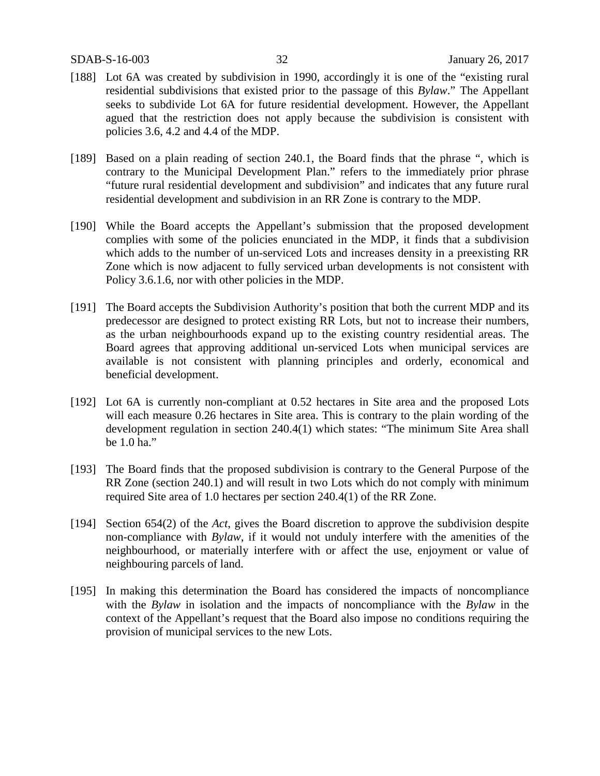- [188] Lot 6A was created by subdivision in 1990, accordingly it is one of the "existing rural residential subdivisions that existed prior to the passage of this *Bylaw*." The Appellant seeks to subdivide Lot 6A for future residential development. However, the Appellant agued that the restriction does not apply because the subdivision is consistent with policies 3.6, 4.2 and 4.4 of the MDP.
- [189] Based on a plain reading of section 240.1, the Board finds that the phrase ", which is contrary to the Municipal Development Plan." refers to the immediately prior phrase "future rural residential development and subdivision" and indicates that any future rural residential development and subdivision in an RR Zone is contrary to the MDP.
- [190] While the Board accepts the Appellant's submission that the proposed development complies with some of the policies enunciated in the MDP, it finds that a subdivision which adds to the number of un-serviced Lots and increases density in a preexisting RR Zone which is now adjacent to fully serviced urban developments is not consistent with Policy 3.6.1.6, nor with other policies in the MDP.
- [191] The Board accepts the Subdivision Authority's position that both the current MDP and its predecessor are designed to protect existing RR Lots, but not to increase their numbers, as the urban neighbourhoods expand up to the existing country residential areas. The Board agrees that approving additional un-serviced Lots when municipal services are available is not consistent with planning principles and orderly, economical and beneficial development.
- [192] Lot 6A is currently non-compliant at 0.52 hectares in Site area and the proposed Lots will each measure 0.26 hectares in Site area. This is contrary to the plain wording of the development regulation in section 240.4(1) which states: "The minimum Site Area shall be 1.0 ha."
- [193] The Board finds that the proposed subdivision is contrary to the General Purpose of the RR Zone (section 240.1) and will result in two Lots which do not comply with minimum required Site area of 1.0 hectares per section 240.4(1) of the RR Zone.
- [194] Section 654(2) of the *Act*, gives the Board discretion to approve the subdivision despite non-compliance with *Bylaw*, if it would not unduly interfere with the amenities of the neighbourhood, or materially interfere with or affect the use, enjoyment or value of neighbouring parcels of land.
- [195] In making this determination the Board has considered the impacts of noncompliance with the *Bylaw* in isolation and the impacts of noncompliance with the *Bylaw* in the context of the Appellant's request that the Board also impose no conditions requiring the provision of municipal services to the new Lots.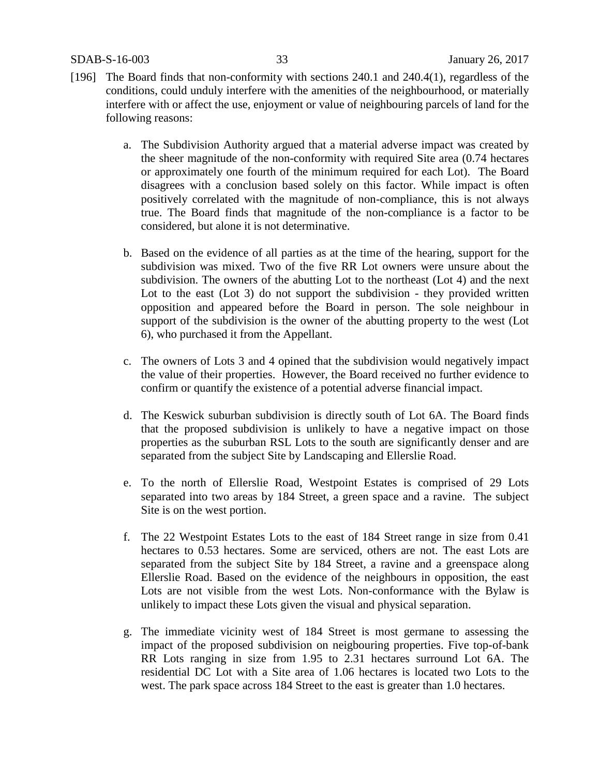SDAB-S-16-003 33 January 26, 2017

- [196] The Board finds that non-conformity with sections 240.1 and 240.4(1), regardless of the conditions, could unduly interfere with the amenities of the neighbourhood, or materially interfere with or affect the use, enjoyment or value of neighbouring parcels of land for the following reasons:
	- a. The Subdivision Authority argued that a material adverse impact was created by the sheer magnitude of the non-conformity with required Site area (0.74 hectares or approximately one fourth of the minimum required for each Lot). The Board disagrees with a conclusion based solely on this factor. While impact is often positively correlated with the magnitude of non-compliance, this is not always true. The Board finds that magnitude of the non-compliance is a factor to be considered, but alone it is not determinative.
	- b. Based on the evidence of all parties as at the time of the hearing, support for the subdivision was mixed. Two of the five RR Lot owners were unsure about the subdivision. The owners of the abutting Lot to the northeast (Lot 4) and the next Lot to the east (Lot 3) do not support the subdivision - they provided written opposition and appeared before the Board in person. The sole neighbour in support of the subdivision is the owner of the abutting property to the west (Lot 6), who purchased it from the Appellant.
	- c. The owners of Lots 3 and 4 opined that the subdivision would negatively impact the value of their properties. However, the Board received no further evidence to confirm or quantify the existence of a potential adverse financial impact.
	- d. The Keswick suburban subdivision is directly south of Lot 6A. The Board finds that the proposed subdivision is unlikely to have a negative impact on those properties as the suburban RSL Lots to the south are significantly denser and are separated from the subject Site by Landscaping and Ellerslie Road.
	- e. To the north of Ellerslie Road, Westpoint Estates is comprised of 29 Lots separated into two areas by 184 Street, a green space and a ravine. The subject Site is on the west portion.
	- f. The 22 Westpoint Estates Lots to the east of 184 Street range in size from 0.41 hectares to 0.53 hectares. Some are serviced, others are not. The east Lots are separated from the subject Site by 184 Street, a ravine and a greenspace along Ellerslie Road. Based on the evidence of the neighbours in opposition, the east Lots are not visible from the west Lots. Non-conformance with the Bylaw is unlikely to impact these Lots given the visual and physical separation.
	- g. The immediate vicinity west of 184 Street is most germane to assessing the impact of the proposed subdivision on neigbouring properties. Five top-of-bank RR Lots ranging in size from 1.95 to 2.31 hectares surround Lot 6A. The residential DC Lot with a Site area of 1.06 hectares is located two Lots to the west. The park space across 184 Street to the east is greater than 1.0 hectares.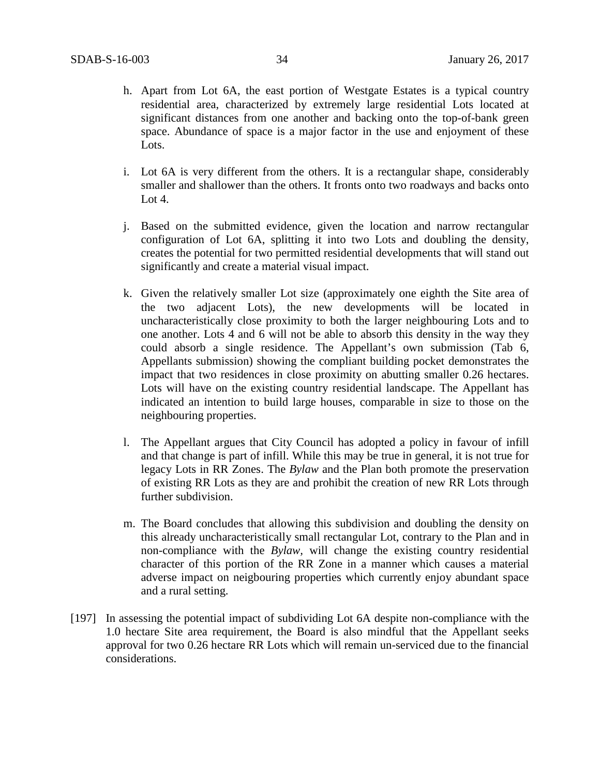- h. Apart from Lot 6A, the east portion of Westgate Estates is a typical country residential area, characterized by extremely large residential Lots located at significant distances from one another and backing onto the top-of-bank green space. Abundance of space is a major factor in the use and enjoyment of these Lots.
- i. Lot 6A is very different from the others. It is a rectangular shape, considerably smaller and shallower than the others. It fronts onto two roadways and backs onto Lot 4.
- j. Based on the submitted evidence, given the location and narrow rectangular configuration of Lot 6A, splitting it into two Lots and doubling the density, creates the potential for two permitted residential developments that will stand out significantly and create a material visual impact.
- k. Given the relatively smaller Lot size (approximately one eighth the Site area of the two adjacent Lots), the new developments will be located in uncharacteristically close proximity to both the larger neighbouring Lots and to one another. Lots 4 and 6 will not be able to absorb this density in the way they could absorb a single residence. The Appellant's own submission (Tab 6, Appellants submission) showing the compliant building pocket demonstrates the impact that two residences in close proximity on abutting smaller 0.26 hectares. Lots will have on the existing country residential landscape. The Appellant has indicated an intention to build large houses, comparable in size to those on the neighbouring properties.
- l. The Appellant argues that City Council has adopted a policy in favour of infill and that change is part of infill. While this may be true in general, it is not true for legacy Lots in RR Zones. The *Bylaw* and the Plan both promote the preservation of existing RR Lots as they are and prohibit the creation of new RR Lots through further subdivision.
- m. The Board concludes that allowing this subdivision and doubling the density on this already uncharacteristically small rectangular Lot, contrary to the Plan and in non-compliance with the *Bylaw,* will change the existing country residential character of this portion of the RR Zone in a manner which causes a material adverse impact on neigbouring properties which currently enjoy abundant space and a rural setting.
- [197] In assessing the potential impact of subdividing Lot 6A despite non-compliance with the 1.0 hectare Site area requirement, the Board is also mindful that the Appellant seeks approval for two 0.26 hectare RR Lots which will remain un-serviced due to the financial considerations.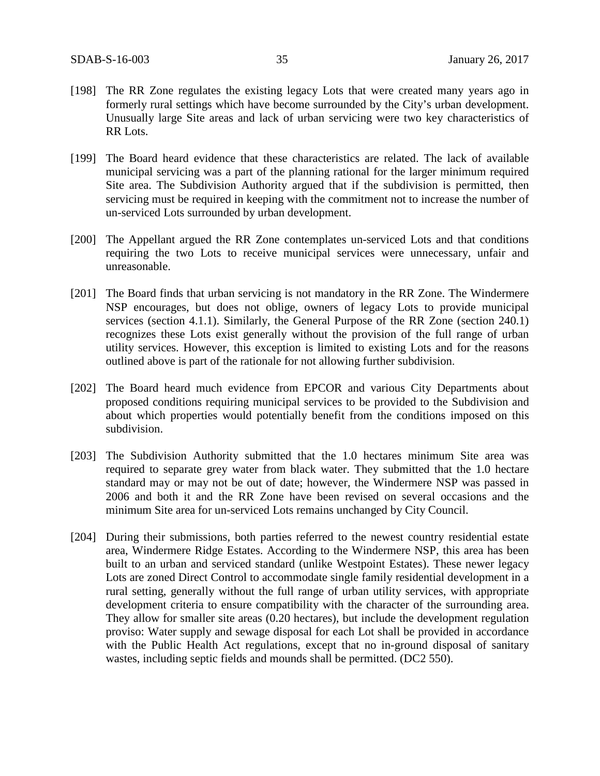- [198] The RR Zone regulates the existing legacy Lots that were created many years ago in formerly rural settings which have become surrounded by the City's urban development. Unusually large Site areas and lack of urban servicing were two key characteristics of RR Lots.
- [199] The Board heard evidence that these characteristics are related. The lack of available municipal servicing was a part of the planning rational for the larger minimum required Site area. The Subdivision Authority argued that if the subdivision is permitted, then servicing must be required in keeping with the commitment not to increase the number of un-serviced Lots surrounded by urban development.
- [200] The Appellant argued the RR Zone contemplates un-serviced Lots and that conditions requiring the two Lots to receive municipal services were unnecessary, unfair and unreasonable.
- [201] The Board finds that urban servicing is not mandatory in the RR Zone. The Windermere NSP encourages, but does not oblige, owners of legacy Lots to provide municipal services (section 4.1.1). Similarly, the General Purpose of the RR Zone (section 240.1) recognizes these Lots exist generally without the provision of the full range of urban utility services. However, this exception is limited to existing Lots and for the reasons outlined above is part of the rationale for not allowing further subdivision.
- [202] The Board heard much evidence from EPCOR and various City Departments about proposed conditions requiring municipal services to be provided to the Subdivision and about which properties would potentially benefit from the conditions imposed on this subdivision.
- [203] The Subdivision Authority submitted that the 1.0 hectares minimum Site area was required to separate grey water from black water. They submitted that the 1.0 hectare standard may or may not be out of date; however, the Windermere NSP was passed in 2006 and both it and the RR Zone have been revised on several occasions and the minimum Site area for un-serviced Lots remains unchanged by City Council.
- [204] During their submissions, both parties referred to the newest country residential estate area, Windermere Ridge Estates. According to the Windermere NSP, this area has been built to an urban and serviced standard (unlike Westpoint Estates). These newer legacy Lots are zoned Direct Control to accommodate single family residential development in a rural setting, generally without the full range of urban utility services, with appropriate development criteria to ensure compatibility with the character of the surrounding area. They allow for smaller site areas (0.20 hectares), but include the development regulation proviso: Water supply and sewage disposal for each Lot shall be provided in accordance with the Public Health Act regulations, except that no in-ground disposal of sanitary wastes, including septic fields and mounds shall be permitted. (DC2 550).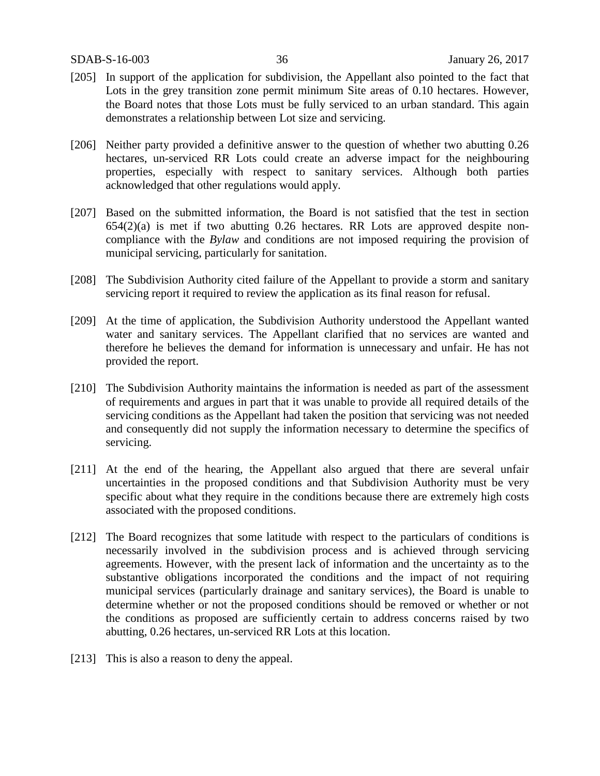- [205] In support of the application for subdivision, the Appellant also pointed to the fact that Lots in the grey transition zone permit minimum Site areas of 0.10 hectares. However, the Board notes that those Lots must be fully serviced to an urban standard. This again demonstrates a relationship between Lot size and servicing.
- [206] Neither party provided a definitive answer to the question of whether two abutting 0.26 hectares, un-serviced RR Lots could create an adverse impact for the neighbouring properties, especially with respect to sanitary services. Although both parties acknowledged that other regulations would apply.
- [207] Based on the submitted information, the Board is not satisfied that the test in section 654(2)(a) is met if two abutting 0.26 hectares. RR Lots are approved despite noncompliance with the *Bylaw* and conditions are not imposed requiring the provision of municipal servicing, particularly for sanitation.
- [208] The Subdivision Authority cited failure of the Appellant to provide a storm and sanitary servicing report it required to review the application as its final reason for refusal.
- [209] At the time of application, the Subdivision Authority understood the Appellant wanted water and sanitary services. The Appellant clarified that no services are wanted and therefore he believes the demand for information is unnecessary and unfair. He has not provided the report.
- [210] The Subdivision Authority maintains the information is needed as part of the assessment of requirements and argues in part that it was unable to provide all required details of the servicing conditions as the Appellant had taken the position that servicing was not needed and consequently did not supply the information necessary to determine the specifics of servicing.
- [211] At the end of the hearing, the Appellant also argued that there are several unfair uncertainties in the proposed conditions and that Subdivision Authority must be very specific about what they require in the conditions because there are extremely high costs associated with the proposed conditions.
- [212] The Board recognizes that some latitude with respect to the particulars of conditions is necessarily involved in the subdivision process and is achieved through servicing agreements. However, with the present lack of information and the uncertainty as to the substantive obligations incorporated the conditions and the impact of not requiring municipal services (particularly drainage and sanitary services), the Board is unable to determine whether or not the proposed conditions should be removed or whether or not the conditions as proposed are sufficiently certain to address concerns raised by two abutting, 0.26 hectares, un-serviced RR Lots at this location.
- [213] This is also a reason to deny the appeal.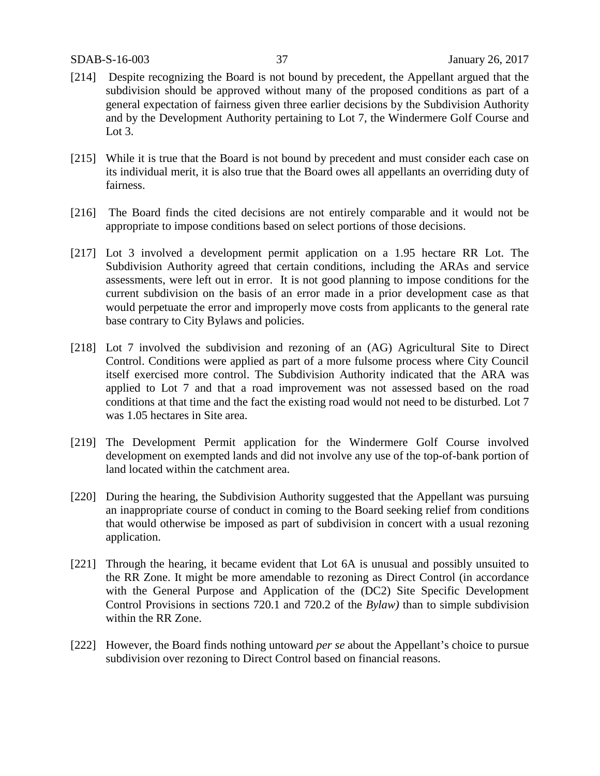- [214] Despite recognizing the Board is not bound by precedent, the Appellant argued that the subdivision should be approved without many of the proposed conditions as part of a general expectation of fairness given three earlier decisions by the Subdivision Authority and by the Development Authority pertaining to Lot 7, the Windermere Golf Course and Lot 3.
- [215] While it is true that the Board is not bound by precedent and must consider each case on its individual merit, it is also true that the Board owes all appellants an overriding duty of fairness.
- [216] The Board finds the cited decisions are not entirely comparable and it would not be appropriate to impose conditions based on select portions of those decisions.
- [217] Lot 3 involved a development permit application on a 1.95 hectare RR Lot. The Subdivision Authority agreed that certain conditions, including the ARAs and service assessments, were left out in error. It is not good planning to impose conditions for the current subdivision on the basis of an error made in a prior development case as that would perpetuate the error and improperly move costs from applicants to the general rate base contrary to City Bylaws and policies.
- [218] Lot 7 involved the subdivision and rezoning of an (AG) Agricultural Site to Direct Control. Conditions were applied as part of a more fulsome process where City Council itself exercised more control. The Subdivision Authority indicated that the ARA was applied to Lot 7 and that a road improvement was not assessed based on the road conditions at that time and the fact the existing road would not need to be disturbed. Lot 7 was 1.05 hectares in Site area.
- [219] The Development Permit application for the Windermere Golf Course involved development on exempted lands and did not involve any use of the top-of-bank portion of land located within the catchment area.
- [220] During the hearing, the Subdivision Authority suggested that the Appellant was pursuing an inappropriate course of conduct in coming to the Board seeking relief from conditions that would otherwise be imposed as part of subdivision in concert with a usual rezoning application.
- [221] Through the hearing, it became evident that Lot 6A is unusual and possibly unsuited to the RR Zone. It might be more amendable to rezoning as Direct Control (in accordance with the General Purpose and Application of the (DC2) Site Specific Development Control Provisions in sections 720.1 and 720.2 of the *Bylaw)* than to simple subdivision within the RR Zone.
- [222] However, the Board finds nothing untoward *per se* about the Appellant's choice to pursue subdivision over rezoning to Direct Control based on financial reasons.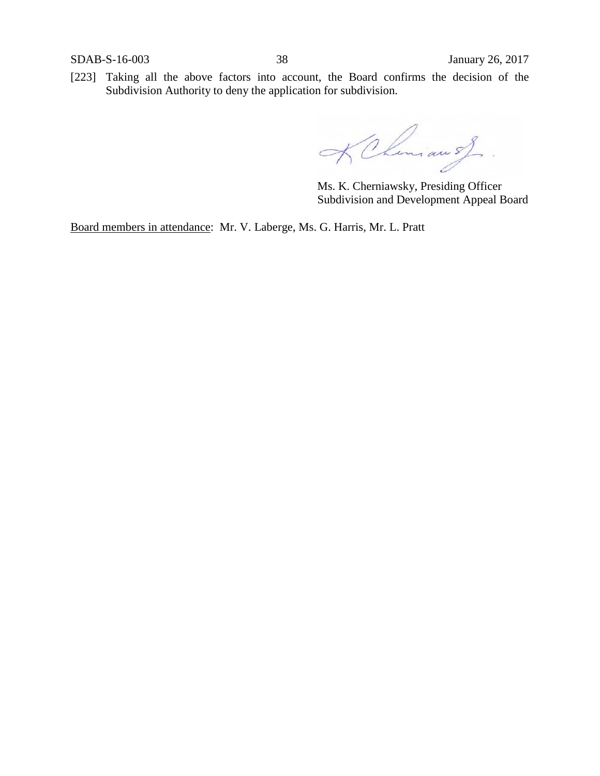[223] Taking all the above factors into account, the Board confirms the decision of the Subdivision Authority to deny the application for subdivision.

KCheniau of

Ms. K. Cherniawsky, Presiding Officer Subdivision and Development Appeal Board

Board members in attendance: Mr. V. Laberge, Ms. G. Harris, Mr. L. Pratt